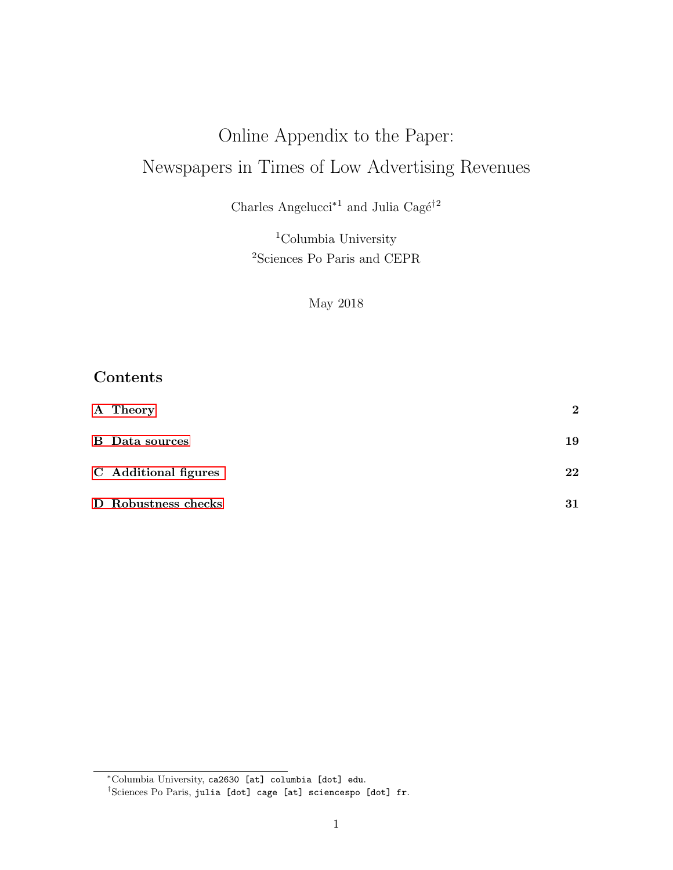# Online Appendix to the Paper: Newspapers in Times of Low Advertising Revenues

Charles Angelucci<sup>∗1</sup> and Julia Cagé<sup>†2</sup>

<sup>1</sup>Columbia University <sup>2</sup>Sciences Po Paris and CEPR

May 2018

## Contents

| A Theory              | $\mathbf 2$ |
|-----------------------|-------------|
| <b>B</b> Data sources | 19          |
| C Additional figures  | 22          |
| D Robustness checks   | 31          |

<sup>∗</sup>Columbia University, ca2630 [at] columbia [dot] edu.

<sup>†</sup>Sciences Po Paris, julia [dot] cage [at] sciencespo [dot] fr.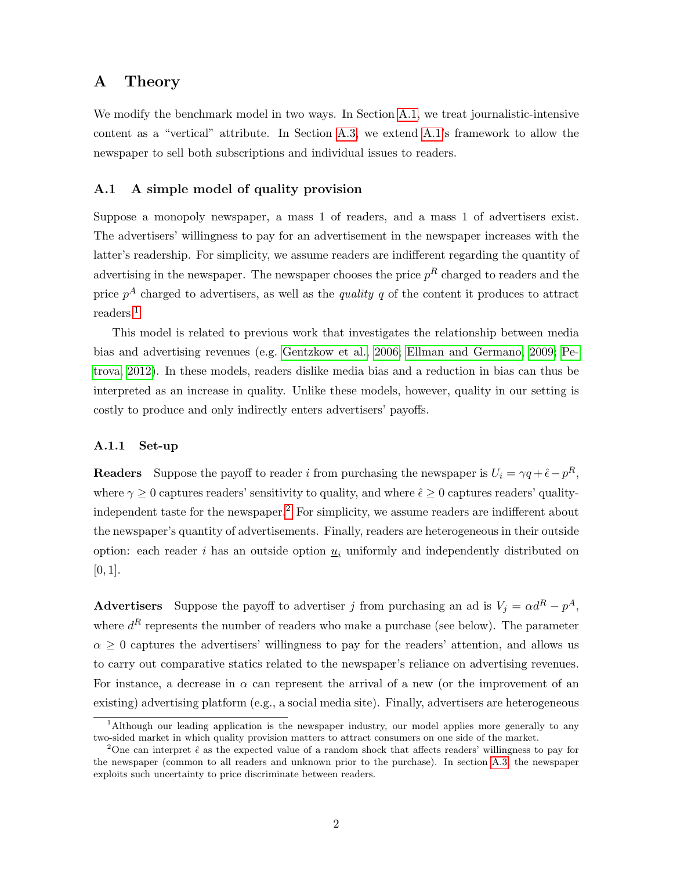### <span id="page-1-0"></span>A Theory

We modify the benchmark model in two ways. In Section [A.1,](#page-1-1) we treat journalistic-intensive content as a "vertical" attribute. In Section [A.3,](#page-5-0) we extend [A.1'](#page-1-1)s framework to allow the newspaper to sell both subscriptions and individual issues to readers.

### <span id="page-1-1"></span>A.1 A simple model of quality provision

Suppose a monopoly newspaper, a mass 1 of readers, and a mass 1 of advertisers exist. The advertisers' willingness to pay for an advertisement in the newspaper increases with the latter's readership. For simplicity, we assume readers are indifferent regarding the quantity of advertising in the newspaper. The newspaper chooses the price  $p<sup>R</sup>$  charged to readers and the price  $p^A$  charged to advertisers, as well as the *quality q* of the content it produces to attract readers.[1](#page-1-2)

This model is related to previous work that investigates the relationship between media bias and advertising revenues (e.g. [Gentzkow et al., 2006;](#page-41-0) [Ellman and Germano, 2009;](#page-41-1) [Pe](#page-42-0)[trova, 2012\)](#page-42-0). In these models, readers dislike media bias and a reduction in bias can thus be interpreted as an increase in quality. Unlike these models, however, quality in our setting is costly to produce and only indirectly enters advertisers' payoffs.

### A.1.1 Set-up

**Readers** Suppose the payoff to reader i from purchasing the newspaper is  $U_i = \gamma q + \hat{\epsilon} - p^R$ , where  $\gamma \geq 0$  captures readers' sensitivity to quality, and where  $\hat{\epsilon} \geq 0$  captures readers' quality-independent taste for the newspaper.<sup>[2](#page-1-3)</sup> For simplicity, we assume readers are indifferent about the newspaper's quantity of advertisements. Finally, readers are heterogeneous in their outside option: each reader i has an outside option  $\underline{u}_i$  uniformly and independently distributed on  $[0, 1]$ .

**Advertisers** Suppose the payoff to advertiser j from purchasing an ad is  $V_j = \alpha d^R - p^A$ , where  $d<sup>R</sup>$  represents the number of readers who make a purchase (see below). The parameter  $\alpha \geq 0$  captures the advertisers' willingness to pay for the readers' attention, and allows us to carry out comparative statics related to the newspaper's reliance on advertising revenues. For instance, a decrease in  $\alpha$  can represent the arrival of a new (or the improvement of an existing) advertising platform (e.g., a social media site). Finally, advertisers are heterogeneous

<span id="page-1-2"></span><sup>&</sup>lt;sup>1</sup>Although our leading application is the newspaper industry, our model applies more generally to any two-sided market in which quality provision matters to attract consumers on one side of the market.

<span id="page-1-3"></span><sup>&</sup>lt;sup>2</sup>One can interpret  $\hat{\epsilon}$  as the expected value of a random shock that affects readers' willingness to pay for the newspaper (common to all readers and unknown prior to the purchase). In section [A.3,](#page-5-0) the newspaper exploits such uncertainty to price discriminate between readers.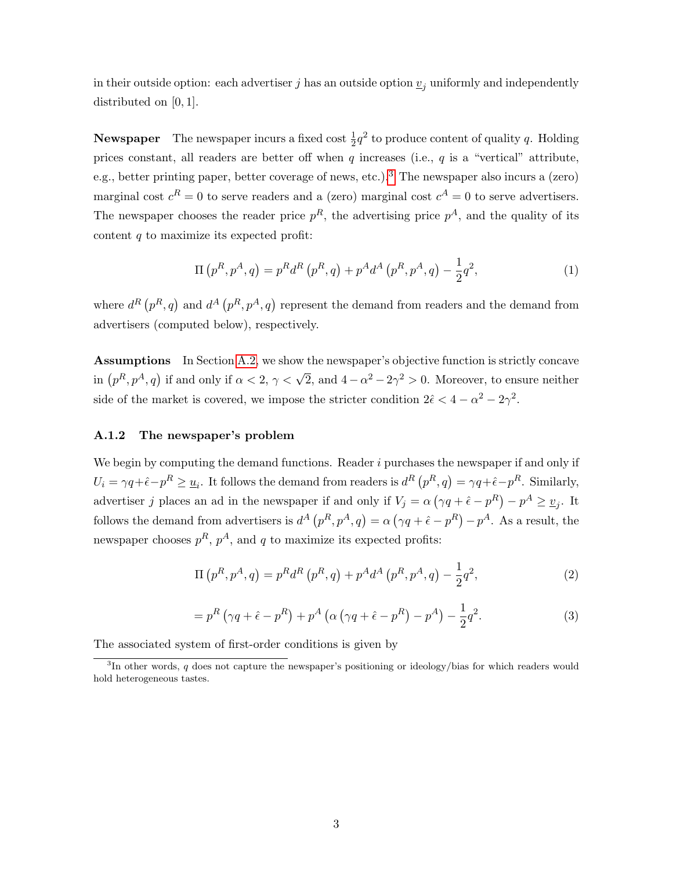in their outside option: each advertiser j has an outside option  $\underline{v}_j$  uniformly and independently distributed on [0, 1].

**Newspaper** The newspaper incurs a fixed cost  $\frac{1}{2}q^2$  to produce content of quality q. Holding prices constant, all readers are better off when  $q$  increases (i.e.,  $q$  is a "vertical" attribute, e.g., better printing paper, better coverage of news, etc.).<sup>[3](#page-2-0)</sup> The newspaper also incurs a (zero) marginal cost  $c^R = 0$  to serve readers and a (zero) marginal cost  $c^A = 0$  to serve advertisers. The newspaper chooses the reader price  $p<sup>R</sup>$ , the advertising price  $p<sup>A</sup>$ , and the quality of its content  $q$  to maximize its expected profit:

$$
\Pi(p^R, p^A, q) = p^R d^R(p^R, q) + p^A d^A(p^R, p^A, q) - \frac{1}{2}q^2,
$$
\n(1)

where  $d^{R}(p^{R},q)$  and  $d^{A}(p^{R},p^{A},q)$  represent the demand from readers and the demand from advertisers (computed below), respectively.

Assumptions In Section [A.2,](#page-4-0) we show the newspaper's objective function is strictly concave in  $(p^R, p^A, q)$  if and only if  $\alpha < 2$ ,  $\gamma < \sqrt{2}$ , and  $4 - \alpha^2 - 2\gamma^2 > 0$ . Moreover, to ensure neither side of the market is covered, we impose the stricter condition  $2\hat{\epsilon} < 4 - \alpha^2 - 2\gamma^2$ .

### A.1.2 The newspaper's problem

We begin by computing the demand functions. Reader  $i$  purchases the newspaper if and only if  $U_i = \gamma q + \hat{\epsilon} - p^R \ge \underline{u}_i$ . It follows the demand from readers is  $d^R(p^R, q) = \gamma q + \hat{\epsilon} - p^R$ . Similarly, advertiser j places an ad in the newspaper if and only if  $V_j = \alpha (\gamma q + \hat{\epsilon} - p^R) - p^A \geq \underline{v}_j$ . It follows the demand from advertisers is  $d^A(p^R, p^A, q) = \alpha (\gamma q + \hat{\epsilon} - p^R) - p^A$ . As a result, the newspaper chooses  $p^R$ ,  $p^A$ , and q to maximize its expected profits:

$$
\Pi(p^R, p^A, q) = p^R d^R(p^R, q) + p^A d^A(p^R, p^A, q) - \frac{1}{2}q^2,
$$
\n(2)

<span id="page-2-1"></span>
$$
=p^{R}\left(\gamma q+\hat{\epsilon}-p^{R}\right)+p^{A}\left(\alpha\left(\gamma q+\hat{\epsilon}-p^{R}\right)-p^{A}\right)-\frac{1}{2}q^{2}.
$$
\n(3)

The associated system of first-order conditions is given by

<span id="page-2-0"></span><sup>&</sup>lt;sup>3</sup>In other words, q does not capture the newspaper's positioning or ideology/bias for which readers would hold heterogeneous tastes.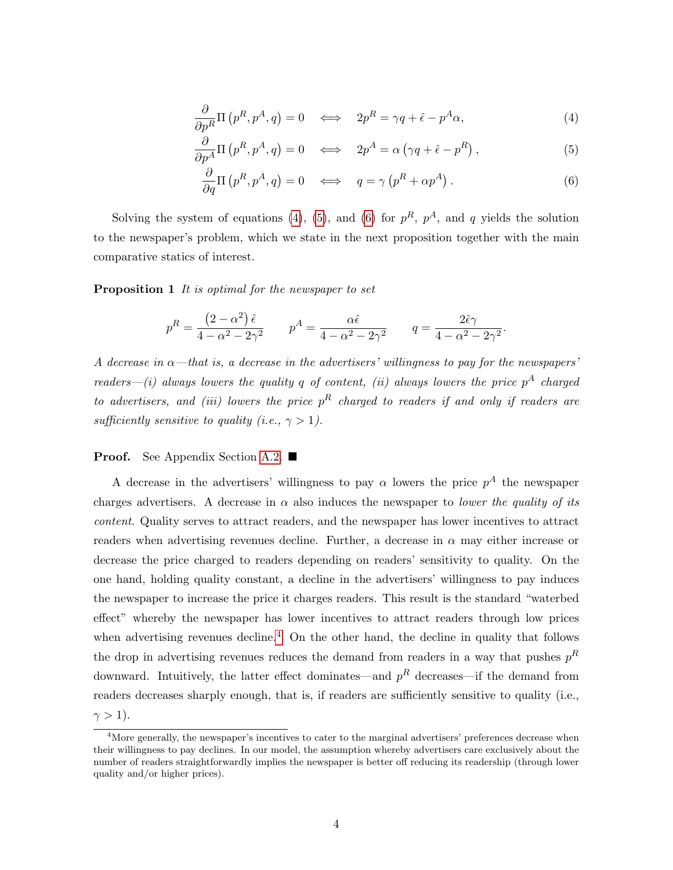$$
\frac{\partial}{\partial p^R} \Pi \left( p^R, p^A, q \right) = 0 \quad \Longleftrightarrow \quad 2p^R = \gamma q + \hat{\epsilon} - p^A \alpha, \tag{4}
$$

<span id="page-3-0"></span>
$$
\frac{\partial}{\partial p^A} \Pi \left( p^R, p^A, q \right) = 0 \quad \Longleftrightarrow \quad 2p^A = \alpha \left( \gamma q + \hat{\epsilon} - p^R \right), \tag{5}
$$

<span id="page-3-2"></span><span id="page-3-1"></span>
$$
\frac{\partial}{\partial q} \Pi \left( p^R, p^A, q \right) = 0 \quad \Longleftrightarrow \quad q = \gamma \left( p^R + \alpha p^A \right). \tag{6}
$$

Solving the system of equations [\(4\)](#page-3-0), [\(5\)](#page-3-1), and [\(6\)](#page-3-2) for  $p^R$ ,  $p^A$ , and q yields the solution to the newspaper's problem, which we state in the next proposition together with the main comparative statics of interest.

<span id="page-3-4"></span>Proposition 1 It is optimal for the newspaper to set

$$
p^R = \frac{(2-\alpha^2)\,\hat{\epsilon}}{4-\alpha^2-2\gamma^2} \qquad p^A = \frac{\alpha\hat{\epsilon}}{4-\alpha^2-2\gamma^2} \qquad q = \frac{2\hat{\epsilon}\gamma}{4-\alpha^2-2\gamma^2}.
$$

A decrease in  $\alpha$ —that is, a decrease in the advertisers' willingness to pay for the newspapers' readers—(i) always lowers the quality q of content, (ii) always lowers the price  $p^A$  charged to advertisers, and (iii) lowers the price  $p<sup>R</sup>$  charged to readers if and only if readers are sufficiently sensitive to quality (i.e.,  $\gamma > 1$ ).

### **Proof.** See Appendix Section [A.2.](#page-4-0)  $\blacksquare$

A decrease in the advertisers' willingness to pay  $\alpha$  lowers the price  $p^A$  the newspaper charges advertisers. A decrease in  $\alpha$  also induces the newspaper to *lower the quality of its* content. Quality serves to attract readers, and the newspaper has lower incentives to attract readers when advertising revenues decline. Further, a decrease in  $\alpha$  may either increase or decrease the price charged to readers depending on readers' sensitivity to quality. On the one hand, holding quality constant, a decline in the advertisers' willingness to pay induces the newspaper to increase the price it charges readers. This result is the standard "waterbed effect" whereby the newspaper has lower incentives to attract readers through low prices when advertising revenues decline.<sup>[4](#page-3-3)</sup> On the other hand, the decline in quality that follows the drop in advertising revenues reduces the demand from readers in a way that pushes  $p<sup>R</sup>$ downward. Intuitively, the latter effect dominates—and  $p<sup>R</sup>$  decreases—if the demand from readers decreases sharply enough, that is, if readers are sufficiently sensitive to quality (i.e.,  $\gamma > 1$ ).

<span id="page-3-3"></span> $4$ More generally, the newspaper's incentives to cater to the marginal advertisers' preferences decrease when their willingness to pay declines. In our model, the assumption whereby advertisers care exclusively about the number of readers straightforwardly implies the newspaper is better off reducing its readership (through lower quality and/or higher prices).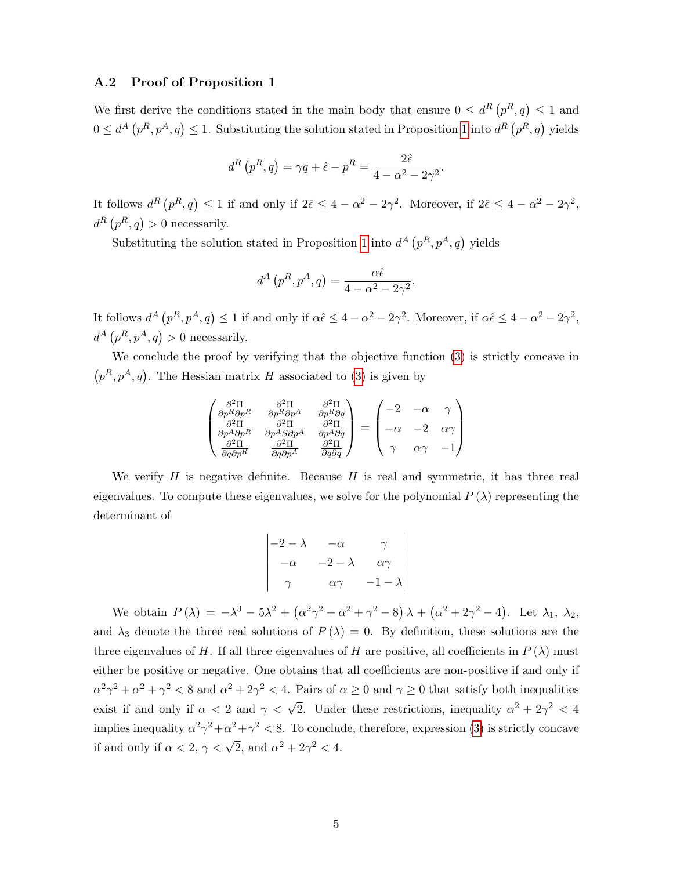### <span id="page-4-0"></span>A.2 Proof of Proposition 1

We first derive the conditions stated in the main body that ensure  $0 \leq d^{R} (p^{R}, q) \leq 1$  and  $0 \leq d^A(p^R, p^A, q) \leq 1$  $0 \leq d^A(p^R, p^A, q) \leq 1$ . Substituting the solution stated in Proposition 1 into  $d^R(p^R, q)$  yields

$$
d^{R}(p^{R}, q) = \gamma q + \hat{\epsilon} - p^{R} = \frac{2\hat{\epsilon}}{4 - \alpha^{2} - 2\gamma^{2}}.
$$

It follows  $d^R(p^R, q) \leq 1$  if and only if  $2\hat{\epsilon} \leq 4 - \alpha^2 - 2\gamma^2$ . Moreover, if  $2\hat{\epsilon} \leq 4 - \alpha^2 - 2\gamma^2$ ,  $d^R(p^R, q) > 0$  necessarily.

Substituting the solution stated in Proposition [1](#page-3-4) into  $d^A(p^R, p^A, q)$  yields

$$
d^A(p^R, p^A, q) = \frac{\alpha \hat{\epsilon}}{4 - \alpha^2 - 2\gamma^2}.
$$

It follows  $d^A(p^R, p^A, q) \leq 1$  if and only if  $\alpha \hat{\epsilon} \leq 4 - \alpha^2 - 2\gamma^2$ . Moreover, if  $\alpha \hat{\epsilon} \leq 4 - \alpha^2 - 2\gamma^2$ ,  $d^A(p^R, p^A, q) > 0$  necessarily.

We conclude the proof by verifying that the objective function [\(3\)](#page-2-1) is strictly concave in  $(p<sup>R</sup>, p<sup>A</sup>, q)$ . The Hessian matrix H associated to [\(3\)](#page-2-1) is given by

$$
\begin{pmatrix}\n\frac{\partial^2 \Pi}{\partial p^R \partial p^R} & \frac{\partial^2 \Pi}{\partial p^R \partial p^A} & \frac{\partial^2 \Pi}{\partial p^R \partial q} \\
\frac{\partial^2 \Pi}{\partial p^A \partial p^R} & \frac{\partial^2 \Pi}{\partial p^A \partial p^A} & \frac{\partial^2 \Pi}{\partial p^A \partial q} \\
\frac{\partial^2 \Pi}{\partial q \partial p^R} & \frac{\partial^2 \Pi}{\partial q \partial p^A} & \frac{\partial^2 \Pi}{\partial q \partial q}\n\end{pmatrix} = \begin{pmatrix}\n-2 & -\alpha & \gamma \\
-\alpha & -2 & \alpha \gamma \\
-\alpha & -2 & \alpha \gamma \\
\gamma & \alpha \gamma & -1\n\end{pmatrix}
$$

We verify  $H$  is negative definite. Because  $H$  is real and symmetric, it has three real eigenvalues. To compute these eigenvalues, we solve for the polynomial  $P(\lambda)$  representing the determinant of

$$
\begin{vmatrix}\n-2-\lambda & -\alpha & \gamma \\
-\alpha & -2-\lambda & \alpha\gamma \\
\gamma & \alpha\gamma & -1-\lambda\n\end{vmatrix}
$$

We obtain  $P(\lambda) = -\lambda^3 - 5\lambda^2 + (\alpha^2\gamma^2 + \alpha^2 + \gamma^2 - 8)\lambda + (\alpha^2 + 2\gamma^2 - 4)$ . Let  $\lambda_1, \lambda_2$ , and  $\lambda_3$  denote the three real solutions of  $P(\lambda) = 0$ . By definition, these solutions are the three eigenvalues of H. If all three eigenvalues of H are positive, all coefficients in  $P(\lambda)$  must either be positive or negative. One obtains that all coefficients are non-positive if and only if  $\alpha^2\gamma^2 + \alpha^2 + \gamma^2 < 8$  and  $\alpha^2 + 2\gamma^2 < 4$ . Pairs of  $\alpha \ge 0$  and  $\gamma \ge 0$  that satisfy both inequalities exist if and only if  $\alpha < 2$  and  $\gamma < \sqrt{2}$ . Under these restrictions, inequality  $\alpha^2 + 2\gamma^2 < 4$ implies inequality  $\alpha^2 \gamma^2 + \alpha^2 + \gamma^2 < 8$ . To conclude, therefore, expression [\(3\)](#page-2-1) is strictly concave if and only if  $\alpha < 2$ ,  $\gamma < \sqrt{2}$ , and  $\alpha^2 + 2\gamma^2 < 4$ .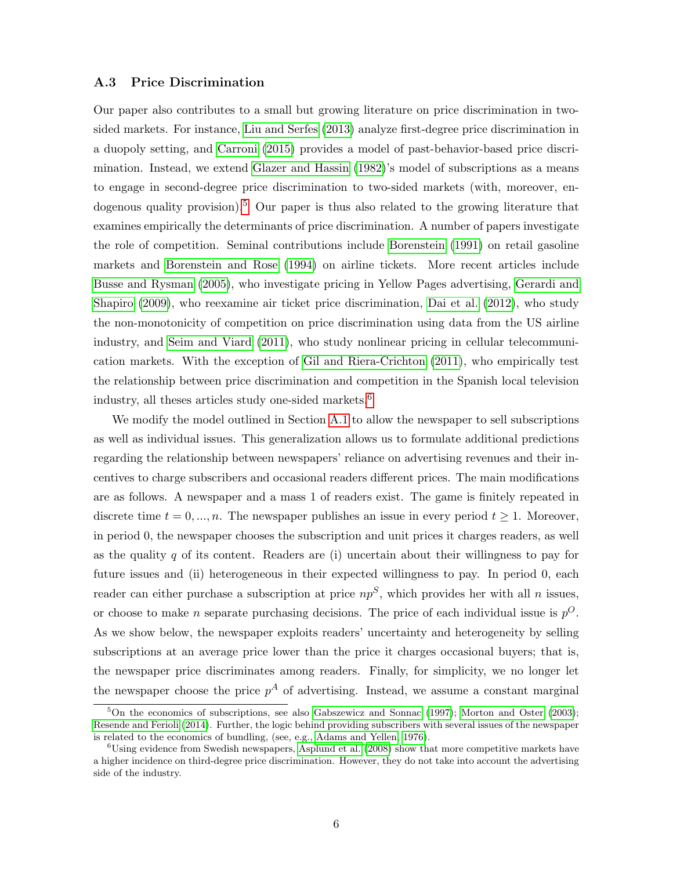### <span id="page-5-0"></span>A.3 Price Discrimination

Our paper also contributes to a small but growing literature on price discrimination in twosided markets. For instance, [Liu and Serfes](#page-42-1) [\(2013\)](#page-42-1) analyze first-degree price discrimination in a duopoly setting, and [Carroni](#page-41-2) [\(2015\)](#page-41-2) provides a model of past-behavior-based price discrimination. Instead, we extend [Glazer and Hassin](#page-42-2) [\(1982\)](#page-42-2)'s model of subscriptions as a means to engage in second-degree price discrimination to two-sided markets (with, moreover, en-dogenous quality provision).<sup>[5](#page-5-1)</sup> Our paper is thus also related to the growing literature that examines empirically the determinants of price discrimination. A number of papers investigate the role of competition. Seminal contributions include [Borenstein](#page-41-3) [\(1991\)](#page-41-3) on retail gasoline markets and [Borenstein and Rose](#page-41-4) [\(1994\)](#page-41-4) on airline tickets. More recent articles include [Busse and Rysman](#page-41-5) [\(2005\)](#page-41-5), who investigate pricing in Yellow Pages advertising, [Gerardi and](#page-42-3) [Shapiro](#page-42-3) [\(2009\)](#page-42-3), who reexamine air ticket price discrimination, [Dai et al.](#page-41-6) [\(2012\)](#page-41-6), who study the non-monotonicity of competition on price discrimination using data from the US airline industry, and [Seim and Viard](#page-42-4) [\(2011\)](#page-42-4), who study nonlinear pricing in cellular telecommunication markets. With the exception of [Gil and Riera-Crichton](#page-42-5) [\(2011\)](#page-42-5), who empirically test the relationship between price discrimination and competition in the Spanish local television industry, all theses articles study one-sided markets.<sup>[6](#page-5-2)</sup>

We modify the model outlined in Section [A.1](#page-1-1) to allow the newspaper to sell subscriptions as well as individual issues. This generalization allows us to formulate additional predictions regarding the relationship between newspapers' reliance on advertising revenues and their incentives to charge subscribers and occasional readers different prices. The main modifications are as follows. A newspaper and a mass 1 of readers exist. The game is finitely repeated in discrete time  $t = 0, ..., n$ . The newspaper publishes an issue in every period  $t \ge 1$ . Moreover, in period 0, the newspaper chooses the subscription and unit prices it charges readers, as well as the quality  $q$  of its content. Readers are (i) uncertain about their willingness to pay for future issues and (ii) heterogeneous in their expected willingness to pay. In period 0, each reader can either purchase a subscription at price  $np<sup>S</sup>$ , which provides her with all n issues, or choose to make *n* separate purchasing decisions. The price of each individual issue is  $p^{O}$ . As we show below, the newspaper exploits readers' uncertainty and heterogeneity by selling subscriptions at an average price lower than the price it charges occasional buyers; that is, the newspaper price discriminates among readers. Finally, for simplicity, we no longer let the newspaper choose the price  $p^A$  of advertising. Instead, we assume a constant marginal

<span id="page-5-1"></span> $5$ On the economics of subscriptions, see also [Gabszewicz and Sonnac](#page-41-7) [\(1997\)](#page-41-7); [Morton and Oster](#page-42-6) [\(2003\)](#page-42-6); [Resende and Ferioli](#page-42-7) [\(2014\)](#page-42-7). Further, the logic behind providing subscribers with several issues of the newspaper is related to the economics of bundling, (see, e.g., [Adams and Yellen, 1976\)](#page-41-8).

<span id="page-5-2"></span> $6\,\text{Using evidence from Swedish newspapers},$  [Asplund et al.](#page-41-9) [\(2008\)](#page-41-9) show that more competitive markets have a higher incidence on third-degree price discrimination. However, they do not take into account the advertising side of the industry.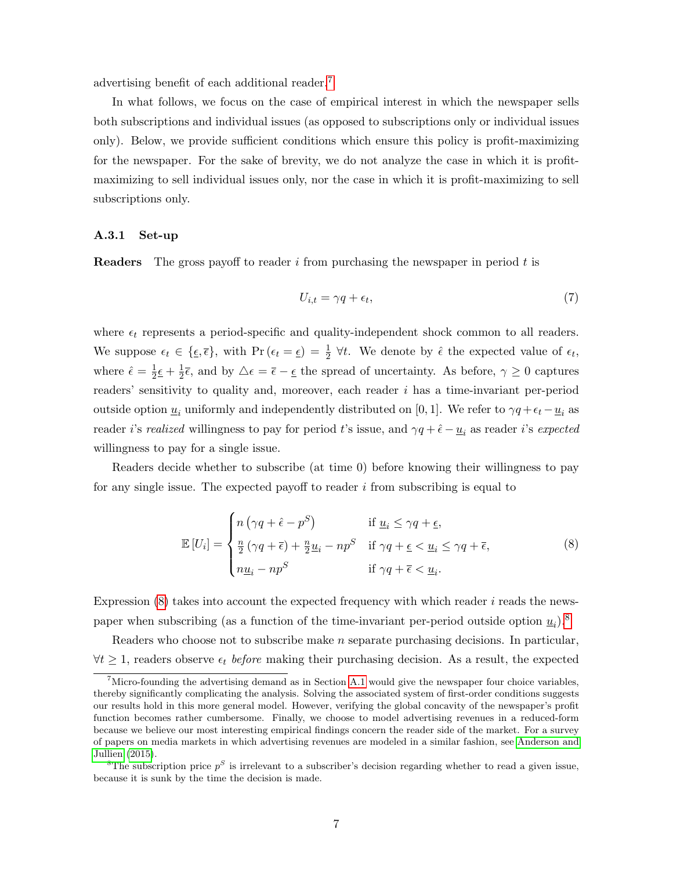advertising benefit of each additional reader.[7](#page-6-0)

In what follows, we focus on the case of empirical interest in which the newspaper sells both subscriptions and individual issues (as opposed to subscriptions only or individual issues only). Below, we provide sufficient conditions which ensure this policy is profit-maximizing for the newspaper. For the sake of brevity, we do not analyze the case in which it is profitmaximizing to sell individual issues only, nor the case in which it is profit-maximizing to sell subscriptions only.

### A.3.1 Set-up

**Readers** The gross payoff to reader i from purchasing the newspaper in period  $t$  is

$$
U_{i,t} = \gamma q + \epsilon_t,\tag{7}
$$

where  $\epsilon_t$  represents a period-specific and quality-independent shock common to all readers. We suppose  $\epsilon_t \in \{\underline{\epsilon}, \overline{\epsilon}\}\$ , with  $\Pr(\epsilon_t = \underline{\epsilon}) = \frac{1}{2} \forall t$ . We denote by  $\hat{\epsilon}$  the expected value of  $\epsilon_t$ , where  $\hat{\epsilon} = \frac{1}{2}$  $\frac{1}{2}\epsilon + \frac{1}{2}$  $\frac{1}{2}\bar{\epsilon}$ , and by  $\Delta \epsilon = \bar{\epsilon} - \epsilon$  the spread of uncertainty. As before,  $\gamma \geq 0$  captures readers' sensitivity to quality and, moreover, each reader i has a time-invariant per-period outside option  $\underline{u}_i$  uniformly and independently distributed on [0, 1]. We refer to  $\gamma q + \epsilon_t - \underline{u}_i$  as reader i's realized willingness to pay for period t's issue, and  $\gamma q + \hat{\epsilon} - \underline{u}_i$  as reader i's expected willingness to pay for a single issue.

Readers decide whether to subscribe (at time 0) before knowing their willingness to pay for any single issue. The expected payoff to reader  $i$  from subscribing is equal to

<span id="page-6-1"></span>
$$
\mathbb{E}\left[U_{i}\right] = \begin{cases} n\left(\gamma q + \hat{\epsilon} - p^{S}\right) & \text{if } \underline{u}_{i} \leq \gamma q + \underline{\epsilon}, \\ \frac{n}{2}\left(\gamma q + \overline{\epsilon}\right) + \frac{n}{2}\underline{u}_{i} - np^{S} & \text{if } \gamma q + \underline{\epsilon} < \underline{u}_{i} \leq \gamma q + \overline{\epsilon}, \\ n\underline{u}_{i} - np^{S} & \text{if } \gamma q + \overline{\epsilon} < \underline{u}_{i}. \end{cases} \tag{8}
$$

Expression  $(8)$  takes into account the expected frequency with which reader i reads the newspaper when subscribing (as a function of the time-invariant per-period outside option  $\underline{u}_i$ ).<sup>[8](#page-6-2)</sup>

Readers who choose not to subscribe make  $n$  separate purchasing decisions. In particular,  $\forall t \geq 1$ , readers observe  $\epsilon_t$  before making their purchasing decision. As a result, the expected

<span id="page-6-0"></span> $7$ Micro-founding the advertising demand as in Section [A.1](#page-1-1) would give the newspaper four choice variables, thereby significantly complicating the analysis. Solving the associated system of first-order conditions suggests our results hold in this more general model. However, verifying the global concavity of the newspaper's profit function becomes rather cumbersome. Finally, we choose to model advertising revenues in a reduced-form because we believe our most interesting empirical findings concern the reader side of the market. For a survey of papers on media markets in which advertising revenues are modeled in a similar fashion, see [Anderson and](#page-41-10) [Jullien](#page-41-10) [\(2015\)](#page-41-10).

<span id="page-6-2"></span><sup>&</sup>lt;sup>8</sup>The subscription price  $p^S$  is irrelevant to a subscriber's decision regarding whether to read a given issue, because it is sunk by the time the decision is made.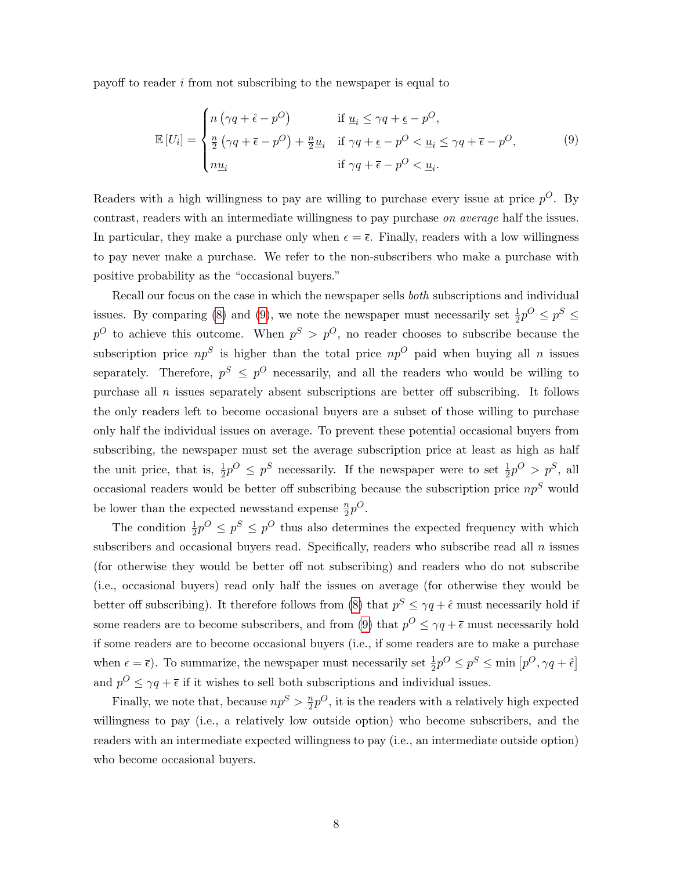payoff to reader i from not subscribing to the newspaper is equal to

<span id="page-7-0"></span>
$$
\mathbb{E}\left[U_{i}\right] = \begin{cases} n\left(\gamma q + \hat{\epsilon} - p^{O}\right) & \text{if } \underline{u}_{i} \leq \gamma q + \underline{\epsilon} - p^{O}, \\ \frac{n}{2}\left(\gamma q + \overline{\epsilon} - p^{O}\right) + \frac{n}{2}\underline{u}_{i} & \text{if } \gamma q + \underline{\epsilon} - p^{O} < \underline{u}_{i} \leq \gamma q + \overline{\epsilon} - p^{O}, \\ n\underline{u}_{i} & \text{if } \gamma q + \overline{\epsilon} - p^{O} < \underline{u}_{i}. \end{cases} \tag{9}
$$

Readers with a high willingness to pay are willing to purchase every issue at price  $p^{O}$ . By contrast, readers with an intermediate willingness to pay purchase on average half the issues. In particular, they make a purchase only when  $\epsilon = \overline{\epsilon}$ . Finally, readers with a low willingness to pay never make a purchase. We refer to the non-subscribers who make a purchase with positive probability as the "occasional buyers."

Recall our focus on the case in which the newspaper sells both subscriptions and individual issues. By comparing [\(8\)](#page-6-1) and [\(9\)](#page-7-0), we note the newspaper must necessarily set  $\frac{1}{2}p^{O} \leq p^{S} \leq$  $p^{O}$  to achieve this outcome. When  $p^{S} > p^{O}$ , no reader chooses to subscribe because the subscription price  $np^{S}$  is higher than the total price  $np^{O}$  paid when buying all n issues separately. Therefore,  $p^S \n\leq p^O$  necessarily, and all the readers who would be willing to purchase all  $n$  issues separately absent subscriptions are better off subscribing. It follows the only readers left to become occasional buyers are a subset of those willing to purchase only half the individual issues on average. To prevent these potential occasional buyers from subscribing, the newspaper must set the average subscription price at least as high as half the unit price, that is,  $\frac{1}{2}p^{\circ} \leq p^S$  necessarily. If the newspaper were to set  $\frac{1}{2}p^{\circ} > p^S$ , all occasional readers would be better off subscribing because the subscription price  $np<sup>S</sup>$  would be lower than the expected newsstand expense  $\frac{n}{2}p^{O}$ .

The condition  $\frac{1}{2}p^{\circ} \leq p^{\circ}$  thus also determines the expected frequency with which subscribers and occasional buyers read. Specifically, readers who subscribe read all  $n$  issues (for otherwise they would be better off not subscribing) and readers who do not subscribe (i.e., occasional buyers) read only half the issues on average (for otherwise they would be better off subscribing). It therefore follows from [\(8\)](#page-6-1) that  $p^S \le \gamma q + \hat{\epsilon}$  must necessarily hold if some readers are to become subscribers, and from [\(9\)](#page-7-0) that  $p^{O} \le \gamma q + \overline{\epsilon}$  must necessarily hold if some readers are to become occasional buyers (i.e., if some readers are to make a purchase when  $\epsilon = \bar{\epsilon}$ ). To summarize, the newspaper must necessarily set  $\frac{1}{2}p^O \leq p^S \leq \min [p^O, \gamma q + \hat{\epsilon}]$ and  $p^{O} \le \gamma q + \overline{\epsilon}$  if it wishes to sell both subscriptions and individual issues.

Finally, we note that, because  $np^{S} > \frac{n}{2}$  $\frac{n}{2}p^{O}$ , it is the readers with a relatively high expected willingness to pay (i.e., a relatively low outside option) who become subscribers, and the readers with an intermediate expected willingness to pay (i.e., an intermediate outside option) who become occasional buyers.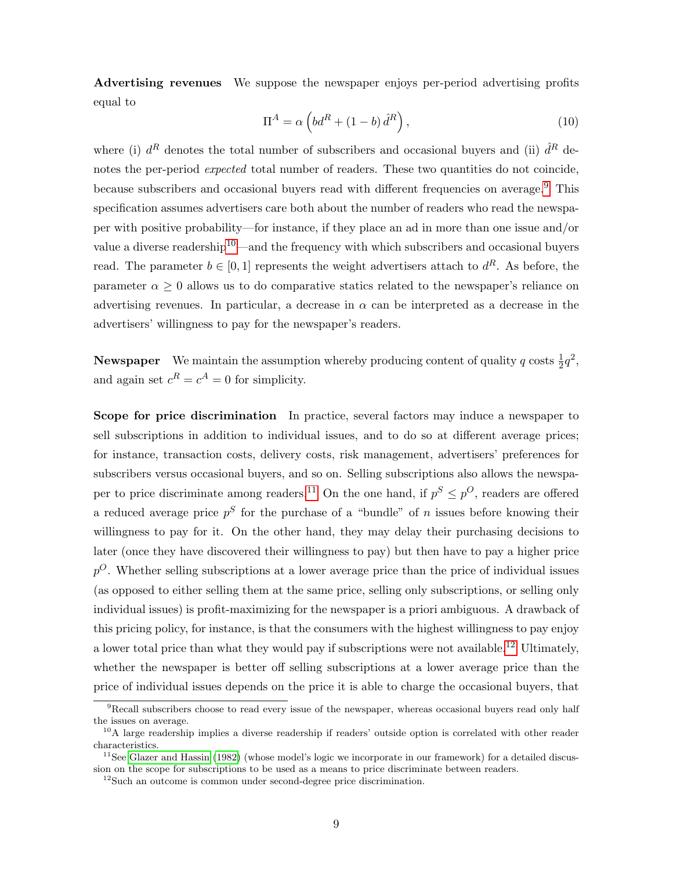Advertising revenues We suppose the newspaper enjoys per-period advertising profits equal to

<span id="page-8-4"></span>
$$
\Pi^{A} = \alpha \left( bd^{R} + (1 - b) \hat{d}^{R} \right),\tag{10}
$$

where (i)  $d^R$  denotes the total number of subscribers and occasional buyers and (ii)  $\hat{d}^R$  denotes the per-period expected total number of readers. These two quantities do not coincide, because subscribers and occasional buyers read with different frequencies on average.<sup>[9](#page-8-0)</sup> This specification assumes advertisers care both about the number of readers who read the newspaper with positive probability—for instance, if they place an ad in more than one issue and/or value a diverse readership<sup>[10](#page-8-1)</sup>—and the frequency with which subscribers and occasional buyers read. The parameter  $b \in [0,1]$  represents the weight advertisers attach to  $d^R$ . As before, the parameter  $\alpha \geq 0$  allows us to do comparative statics related to the newspaper's reliance on advertising revenues. In particular, a decrease in  $\alpha$  can be interpreted as a decrease in the advertisers' willingness to pay for the newspaper's readers.

**Newspaper** We maintain the assumption whereby producing content of quality q costs  $\frac{1}{2}q^2$ , and again set  $c^R = c^A = 0$  for simplicity.

Scope for price discrimination In practice, several factors may induce a newspaper to sell subscriptions in addition to individual issues, and to do so at different average prices; for instance, transaction costs, delivery costs, risk management, advertisers' preferences for subscribers versus occasional buyers, and so on. Selling subscriptions also allows the newspa-per to price discriminate among readers.<sup>[11](#page-8-2)</sup> On the one hand, if  $p^S \leq p^O$ , readers are offered a reduced average price  $p^S$  for the purchase of a "bundle" of n issues before knowing their willingness to pay for it. On the other hand, they may delay their purchasing decisions to later (once they have discovered their willingness to pay) but then have to pay a higher price  $p^{O}$ . Whether selling subscriptions at a lower average price than the price of individual issues (as opposed to either selling them at the same price, selling only subscriptions, or selling only individual issues) is profit-maximizing for the newspaper is a priori ambiguous. A drawback of this pricing policy, for instance, is that the consumers with the highest willingness to pay enjoy a lower total price than what they would pay if subscriptions were not available.<sup>[12](#page-8-3)</sup> Ultimately, whether the newspaper is better off selling subscriptions at a lower average price than the price of individual issues depends on the price it is able to charge the occasional buyers, that

<span id="page-8-0"></span> $\overline{P_{\text{Recall}}$  subscribers choose to read every issue of the newspaper, whereas occasional buyers read only half the issues on average.

<span id="page-8-1"></span> $10$ A large readership implies a diverse readership if readers' outside option is correlated with other reader characteristics.

<span id="page-8-2"></span> $11$ See [Glazer and Hassin](#page-42-2) [\(1982\)](#page-42-2) (whose model's logic we incorporate in our framework) for a detailed discussion on the scope for subscriptions to be used as a means to price discriminate between readers.

<span id="page-8-3"></span> $12$ Such an outcome is common under second-degree price discrimination.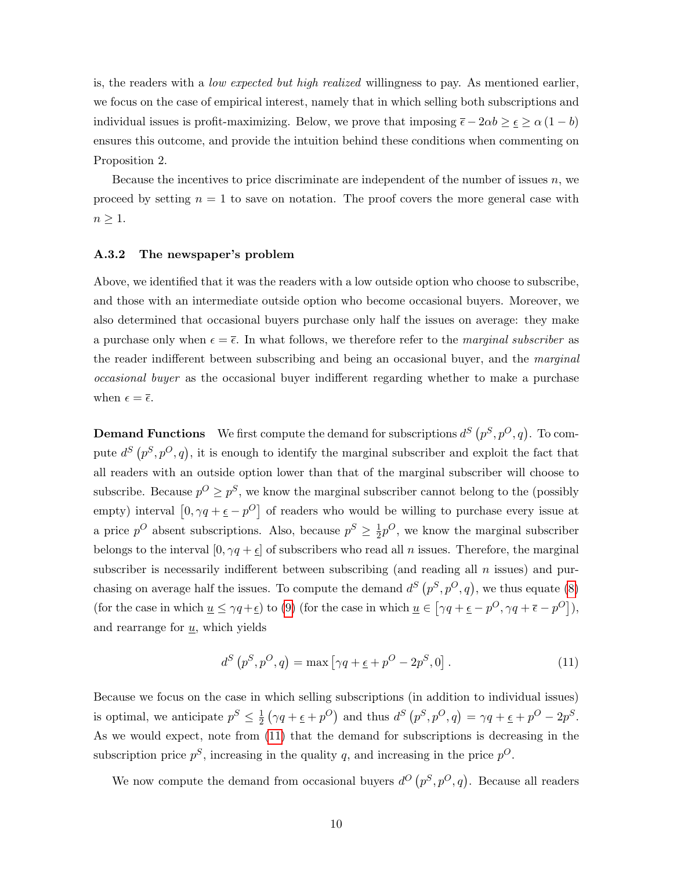is, the readers with a *low expected but high realized* willingness to pay. As mentioned earlier, we focus on the case of empirical interest, namely that in which selling both subscriptions and individual issues is profit-maximizing. Below, we prove that imposing  $\bar{\epsilon} - 2\alpha b \ge \epsilon \ge \alpha (1 - b)$ ensures this outcome, and provide the intuition behind these conditions when commenting on Proposition 2.

Because the incentives to price discriminate are independent of the number of issues  $n$ , we proceed by setting  $n = 1$  to save on notation. The proof covers the more general case with  $n \geq 1$ .

#### A.3.2 The newspaper's problem

Above, we identified that it was the readers with a low outside option who choose to subscribe, and those with an intermediate outside option who become occasional buyers. Moreover, we also determined that occasional buyers purchase only half the issues on average: they make a purchase only when  $\epsilon = \bar{\epsilon}$ . In what follows, we therefore refer to the *marginal subscriber* as the reader indifferent between subscribing and being an occasional buyer, and the *marginal* occasional buyer as the occasional buyer indifferent regarding whether to make a purchase when  $\epsilon = \overline{\epsilon}$ .

**Demand Functions** We first compute the demand for subscriptions  $d^S(p^S, p^O, q)$ . To compute  $d^S(p^S, p^O, q)$ , it is enough to identify the marginal subscriber and exploit the fact that all readers with an outside option lower than that of the marginal subscriber will choose to subscribe. Because  $p^O \geq p^S$ , we know the marginal subscriber cannot belong to the (possibly empty) interval  $[0, \gamma q + \underline{\epsilon} - p^{\overline{O}}]$  of readers who would be willing to purchase every issue at a price  $p^O$  absent subscriptions. Also, because  $p^S \geq \frac{1}{2}$  $\frac{1}{2}p^{O}$ , we know the marginal subscriber belongs to the interval  $[0, \gamma q + \epsilon]$  of subscribers who read all *n* issues. Therefore, the marginal subscriber is necessarily indifferent between subscribing (and reading all  $n$  issues) and purchasing on average half the issues. To compute the demand  $d^S(p^S, p^O, q)$ , we thus equate [\(8\)](#page-6-1) (for the case in which  $\underline{u} \leq \gamma q + \underline{\epsilon}$ ) to [\(9\)](#page-7-0) (for the case in which  $\underline{u} \in [\gamma q + \underline{\epsilon} - p^O, \gamma q + \overline{\epsilon} - p^O]$ ), and rearrange for  $\underline{u}$ , which yields

<span id="page-9-0"></span>
$$
d^{S}\left(p^{S}, p^{O}, q\right) = \max\left[\gamma q + \underline{\epsilon} + p^{O} - 2p^{S}, 0\right].\tag{11}
$$

Because we focus on the case in which selling subscriptions (in addition to individual issues) is optimal, we anticipate  $p^S \leq \frac{1}{2}$  $\frac{1}{2}(\gamma q + \underline{\epsilon} + p^O)$  and thus  $d^S(p^S, p^O, q) = \gamma q + \underline{\epsilon} + p^O - 2p^S$ . As we would expect, note from [\(11\)](#page-9-0) that the demand for subscriptions is decreasing in the subscription price  $p^S$ , increasing in the quality q, and increasing in the price  $p^O$ .

We now compute the demand from occasional buyers  $d^O(p^S, p^O, q)$ . Because all readers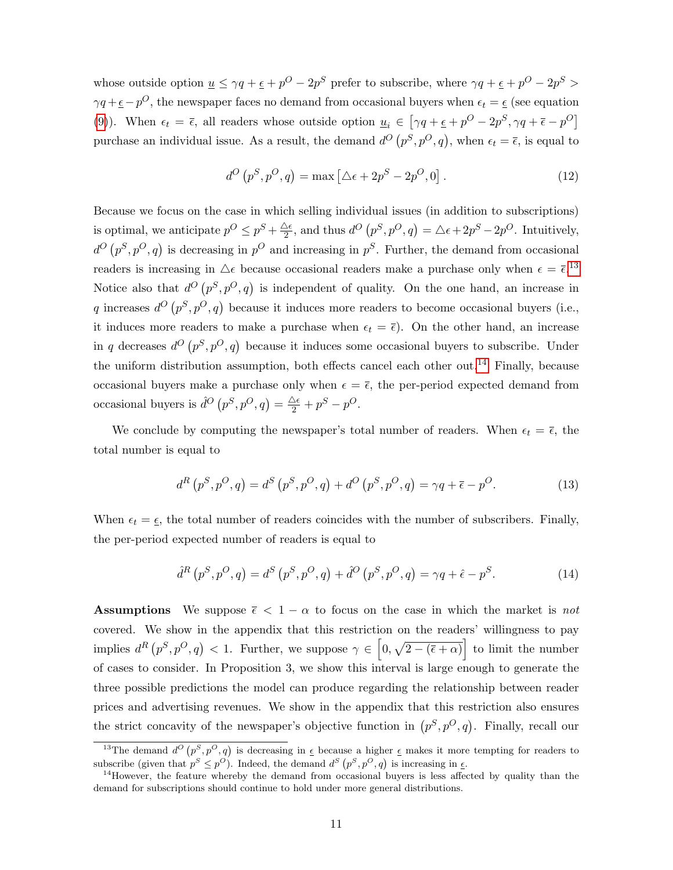whose outside option  $\underline{u} \leq \gamma q + \underline{\epsilon} + p^O - 2p^S$  prefer to subscribe, where  $\gamma q + \underline{\epsilon} + p^O - 2p^S >$  $\gamma q + \epsilon - p^O$ , the newspaper faces no demand from occasional buyers when  $\epsilon_t = \epsilon$  (see equation [\(9\)](#page-7-0)). When  $\epsilon_t = \bar{\epsilon}$ , all readers whose outside option  $\underline{u}_i \in [\gamma q + \underline{\epsilon} + p^O - 2p^S, \gamma q + \bar{\epsilon} - p^O]$ purchase an individual issue. As a result, the demand  $d^O(p^S, p^O, q)$ , when  $\epsilon_t = \overline{\epsilon}$ , is equal to

<span id="page-10-2"></span>
$$
d^{O}\left(p^{S}, p^{O}, q\right) = \max\left[\Delta \epsilon + 2p^{S} - 2p^{O}, 0\right].
$$
\n(12)

Because we focus on the case in which selling individual issues (in addition to subscriptions) is optimal, we anticipate  $p^O \leq p^S + \frac{\Delta \epsilon}{2}$  $\frac{\Delta \epsilon}{2}$ , and thus  $d^O(p^S, p^O, q) = \Delta \epsilon + 2p^S - 2p^O$ . Intuitively,  $d^O(p^S, p^O, q)$  is decreasing in  $p^O$  and increasing in  $p^S$ . Further, the demand from occasional readers is increasing in  $\Delta \epsilon$  because occasional readers make a purchase only when  $\epsilon = \bar{\epsilon}$ .<sup>[13](#page-10-0)</sup> Notice also that  $d^O(p^S, p^O, q)$  is independent of quality. On the one hand, an increase in q increases  $d^O(p^S, p^O, q)$  because it induces more readers to become occasional buyers (i.e., it induces more readers to make a purchase when  $\epsilon_t = \bar{\epsilon}$ . On the other hand, an increase in q decreases  $d^O(p^S, p^O, q)$  because it induces some occasional buyers to subscribe. Under the uniform distribution assumption, both effects cancel each other out.<sup>[14](#page-10-1)</sup> Finally, because occasional buyers make a purchase only when  $\epsilon = \overline{\epsilon}$ , the per-period expected demand from occasional buyers is  $\hat{d}^O(p^S, p^O, q) = \frac{\Delta \epsilon}{2} + p^S - p^O.$ 

We conclude by computing the newspaper's total number of readers. When  $\epsilon_t = \overline{\epsilon}$ , the total number is equal to

$$
d^{R}(p^{S}, p^{O}, q) = d^{S}(p^{S}, p^{O}, q) + d^{O}(p^{S}, p^{O}, q) = \gamma q + \bar{\epsilon} - p^{O}.
$$
 (13)

When  $\epsilon_t = \epsilon$ , the total number of readers coincides with the number of subscribers. Finally, the per-period expected number of readers is equal to

$$
\hat{d}^{R}(p^{S}, p^{O}, q) = d^{S}(p^{S}, p^{O}, q) + \hat{d}^{O}(p^{S}, p^{O}, q) = \gamma q + \hat{\epsilon} - p^{S}.
$$
\n(14)

**Assumptions** We suppose  $\bar{\epsilon} < 1 - \alpha$  to focus on the case in which the market is not covered. We show in the appendix that this restriction on the readers' willingness to pay implies  $d^R(p^S, p^O, q) < 1$ . Further, we suppose  $\gamma \in [0, \sqrt{2-(\overline{\epsilon}+\alpha)}]$  to limit the number of cases to consider. In Proposition 3, we show this interval is large enough to generate the three possible predictions the model can produce regarding the relationship between reader prices and advertising revenues. We show in the appendix that this restriction also ensures the strict concavity of the newspaper's objective function in  $(p^S, p^O, q)$ . Finally, recall our

<span id="page-10-0"></span><sup>&</sup>lt;sup>13</sup>The demand  $d^O(p^S, p^O, q)$  is decreasing in  $\epsilon$  because a higher  $\epsilon$  makes it more tempting for readers to subscribe (given that  $p^S \leq p^O$ ). Indeed, the demand  $d^S(p^S, p^O, q)$  is increasing in  $\epsilon$ .

<span id="page-10-1"></span> $14$ However, the feature whereby the demand from occasional buyers is less affected by quality than the demand for subscriptions should continue to hold under more general distributions.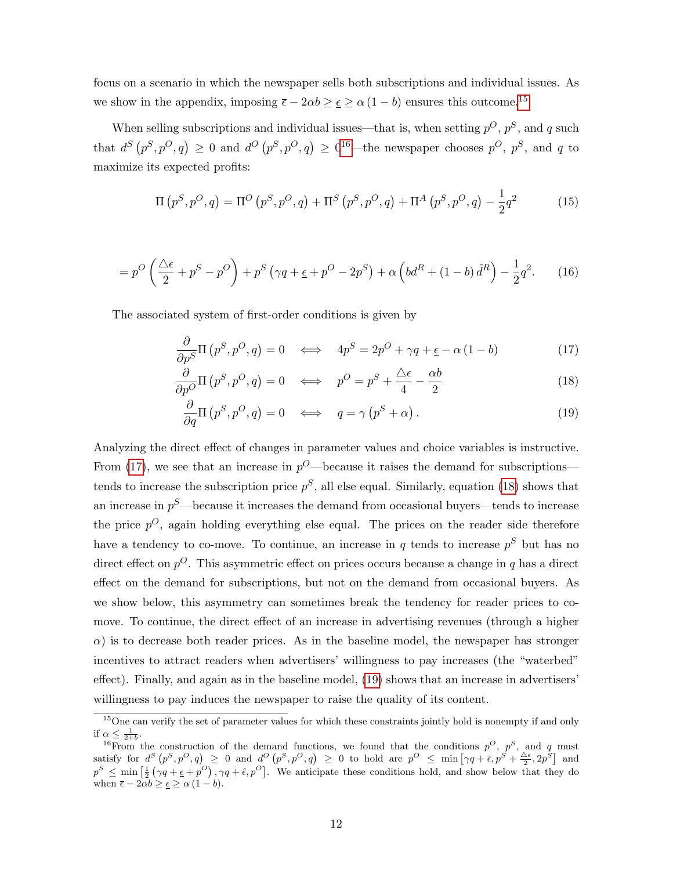focus on a scenario in which the newspaper sells both subscriptions and individual issues. As we show in the appendix, imposing  $\bar{\epsilon} - 2\alpha b \geq \epsilon \geq \alpha (1 - b)$  ensures this outcome.<sup>[15](#page-11-0)</sup>

When selling subscriptions and individual issues—that is, when setting  $p^O$ ,  $p^S$ , and q such that  $d^S(p^S, p^O, q) \geq 0$  and  $d^O(p^S, p^O, q) \geq 0^{16}$  $d^O(p^S, p^O, q) \geq 0^{16}$  $d^O(p^S, p^O, q) \geq 0^{16}$ —the newspaper chooses  $p^O, p^S$ , and q to maximize its expected profits:

$$
\Pi(p^S, p^O, q) = \Pi^O(p^S, p^O, q) + \Pi^S(p^S, p^O, q) + \Pi^A(p^S, p^O, q) - \frac{1}{2}q^2 \tag{15}
$$

$$
=p^{O}\left(\frac{\triangle\epsilon}{2}+p^{S}-p^{O}\right)+p^{S}\left(\gamma q+\epsilon+p^{O}-2p^{S}\right)+\alpha\left(bd^{R}+\left(1-b\right)\hat{d}^{R}\right)-\frac{1}{2}q^{2}.\tag{16}
$$

The associated system of first-order conditions is given by

<span id="page-11-2"></span>
$$
\frac{\partial}{\partial p^S} \Pi \left( p^S, p^O, q \right) = 0 \quad \Longleftrightarrow \quad 4p^S = 2p^O + \gamma q + \underline{\epsilon} - \alpha \left( 1 - b \right) \tag{17}
$$

$$
\frac{\partial}{\partial p^O} \Pi \left( p^S, p^O, q \right) = 0 \quad \Longleftrightarrow \quad p^O = p^S + \frac{\Delta \epsilon}{4} - \frac{\alpha b}{2} \tag{18}
$$

<span id="page-11-4"></span><span id="page-11-3"></span>
$$
\frac{\partial}{\partial q} \Pi \left( p^S, p^O, q \right) = 0 \quad \Longleftrightarrow \quad q = \gamma \left( p^S + \alpha \right). \tag{19}
$$

Analyzing the direct effect of changes in parameter values and choice variables is instructive. From [\(17\)](#page-11-2), we see that an increase in  $p^O$ —because it raises the demand for subscriptions tends to increase the subscription price  $p^S$ , all else equal. Similarly, equation [\(18\)](#page-11-3) shows that an increase in  $p^S$ —because it increases the demand from occasional buyers—tends to increase the price  $p^{O}$ , again holding everything else equal. The prices on the reader side therefore have a tendency to co-move. To continue, an increase in q tends to increase  $p<sup>S</sup>$  but has no direct effect on  $p^{O}$ . This asymmetric effect on prices occurs because a change in q has a direct effect on the demand for subscriptions, but not on the demand from occasional buyers. As we show below, this asymmetry can sometimes break the tendency for reader prices to comove. To continue, the direct effect of an increase in advertising revenues (through a higher  $\alpha$ ) is to decrease both reader prices. As in the baseline model, the newspaper has stronger incentives to attract readers when advertisers' willingness to pay increases (the "waterbed" effect). Finally, and again as in the baseline model, [\(19\)](#page-11-4) shows that an increase in advertisers' willingness to pay induces the newspaper to raise the quality of its content.

<span id="page-11-0"></span><sup>&</sup>lt;sup>15</sup>One can verify the set of parameter values for which these constraints jointly hold is nonempty if and only if  $\alpha \leq \frac{1}{2+h}$ .

<span id="page-11-1"></span><sup>&</sup>lt;sup>16</sup>From the construction of the demand functions, we found that the conditions  $p^O$ ,  $p^S$ , and q must satisfy for  $d^S(p^S, p^O, q) \geq 0$  and  $d^O(p^S, p^O, q) \geq 0$  to hold are  $p^O \leq \min\left[\gamma q + \overline{\epsilon}, p^S + \frac{\Delta \epsilon}{2}, 2p^S\right]$  and  $p^S \leq \min\left[\frac{1}{2}(\gamma q + \underline{\epsilon} + p^O), \gamma q + \hat{\epsilon}, p^O\right]$ . We anticipate these conditions hold, and show below that they do when  $\overline{\epsilon} - 2\overline{\alpha}b \geq \underline{\epsilon} \geq \alpha (1 - b).$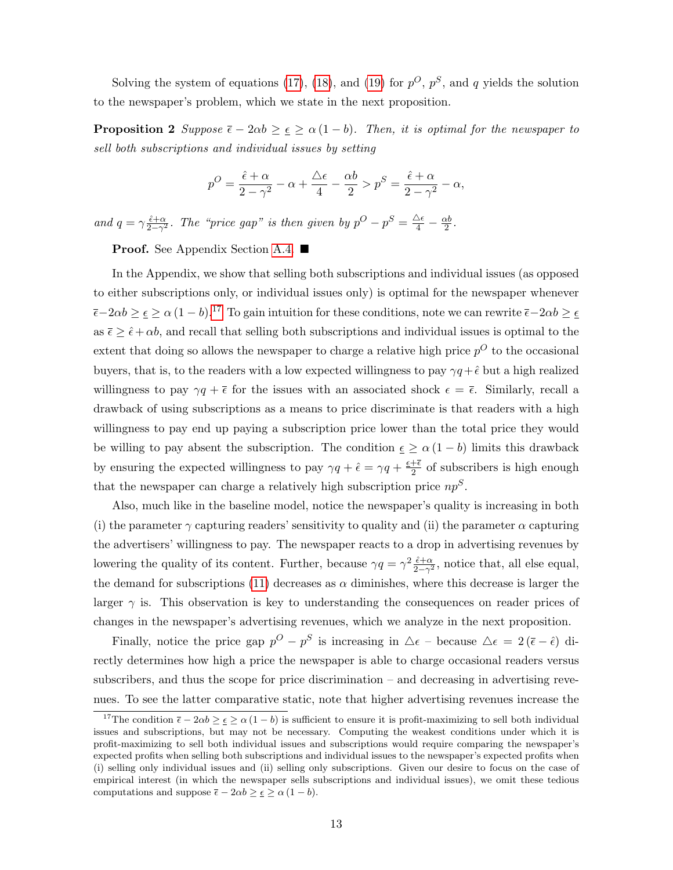Solving the system of equations [\(17\)](#page-11-2), [\(18\)](#page-11-3), and [\(19\)](#page-11-4) for  $p^O$ ,  $p^S$ , and q yields the solution to the newspaper's problem, which we state in the next proposition.

<span id="page-12-1"></span>**Proposition 2** Suppose  $\bar{\epsilon} - 2\alpha b \geq \epsilon \geq \alpha (1 - b)$ . Then, it is optimal for the newspaper to sell both subscriptions and individual issues by setting

$$
p^O = \frac{\hat{\epsilon} + \alpha}{2 - \gamma^2} - \alpha + \frac{\Delta \epsilon}{4} - \frac{\alpha b}{2} > p^S = \frac{\hat{\epsilon} + \alpha}{2 - \gamma^2} - \alpha,
$$

and  $q = \gamma \frac{\hat{\epsilon} + \alpha}{2 - \alpha^2}$  $\frac{\hat{\epsilon}+\alpha}{2-\gamma^2}$ . The "price gap" is then given by  $p^O - p^S = \frac{\Delta \epsilon}{4} - \frac{\alpha b}{2}$  $\frac{2}{2}$ .

**Proof.** See Appendix Section [A.4.](#page-14-0) ■

In the Appendix, we show that selling both subscriptions and individual issues (as opposed to either subscriptions only, or individual issues only) is optimal for the newspaper whenever  $\bar{\epsilon}-2\alpha b \geq \epsilon \geq \alpha (1-b)^{17}$  $\bar{\epsilon}-2\alpha b \geq \epsilon \geq \alpha (1-b)^{17}$  $\bar{\epsilon}-2\alpha b \geq \epsilon \geq \alpha (1-b)^{17}$  To gain intuition for these conditions, note we can rewrite  $\bar{\epsilon}-2\alpha b \geq \epsilon$ as  $\bar{\epsilon} \geq \hat{\epsilon} + \alpha b$ , and recall that selling both subscriptions and individual issues is optimal to the extent that doing so allows the newspaper to charge a relative high price  $p^O$  to the occasional buyers, that is, to the readers with a low expected willingness to pay  $\gamma q + \hat{\epsilon}$  but a high realized willingness to pay  $\gamma q + \bar{\epsilon}$  for the issues with an associated shock  $\epsilon = \bar{\epsilon}$ . Similarly, recall a drawback of using subscriptions as a means to price discriminate is that readers with a high willingness to pay end up paying a subscription price lower than the total price they would be willing to pay absent the subscription. The condition  $\epsilon \geq \alpha (1 - b)$  limits this drawback by ensuring the expected willingness to pay  $\gamma q + \hat{\epsilon} = \gamma q + \frac{\epsilon + \bar{\epsilon}}{2}$  $\frac{1+\epsilon}{2}$  of subscribers is high enough that the newspaper can charge a relatively high subscription price  $np<sup>S</sup>$ .

Also, much like in the baseline model, notice the newspaper's quality is increasing in both (i) the parameter  $\gamma$  capturing readers' sensitivity to quality and (ii) the parameter  $\alpha$  capturing the advertisers' willingness to pay. The newspaper reacts to a drop in advertising revenues by lowering the quality of its content. Further, because  $\gamma q = \gamma^2 \frac{\hat{\epsilon} + \alpha}{2 - \gamma^2}$  $\frac{\tilde{\epsilon}+\alpha}{2-\gamma^2}$ , notice that, all else equal, the demand for subscriptions [\(11\)](#page-9-0) decreases as  $\alpha$  diminishes, where this decrease is larger the larger  $\gamma$  is. This observation is key to understanding the consequences on reader prices of changes in the newspaper's advertising revenues, which we analyze in the next proposition.

Finally, notice the price gap  $p^O - p^S$  is increasing in  $\Delta \epsilon$  – because  $\Delta \epsilon = 2(\bar{\epsilon} - \hat{\epsilon})$  directly determines how high a price the newspaper is able to charge occasional readers versus subscribers, and thus the scope for price discrimination – and decreasing in advertising revenues. To see the latter comparative static, note that higher advertising revenues increase the

<span id="page-12-0"></span><sup>&</sup>lt;sup>17</sup>The condition  $\bar{\epsilon} - 2\alpha b \geq \epsilon \geq \alpha (1 - b)$  is sufficient to ensure it is profit-maximizing to sell both individual issues and subscriptions, but may not be necessary. Computing the weakest conditions under which it is profit-maximizing to sell both individual issues and subscriptions would require comparing the newspaper's expected profits when selling both subscriptions and individual issues to the newspaper's expected profits when (i) selling only individual issues and (ii) selling only subscriptions. Given our desire to focus on the case of empirical interest (in which the newspaper sells subscriptions and individual issues), we omit these tedious computations and suppose  $\bar{\epsilon} - 2\alpha b \geq \epsilon \geq \alpha (1 - b)$ .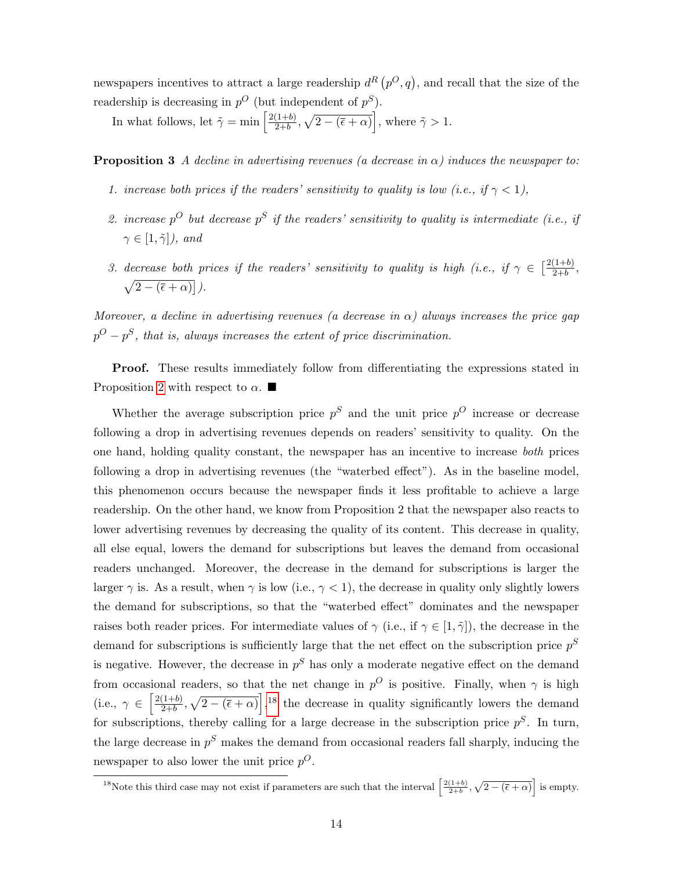newspapers incentives to attract a large readership  $d^{R}(p^{O},q)$ , and recall that the size of the readership is decreasing in  $p^O$  (but independent of  $p^S$ ).

In what follows, let  $\tilde{\gamma} = \min \left[ \frac{2(1+b)}{2+b} \right]$  $\left(\frac{(1+b)}{2+b}, \sqrt{2-(\overline{\epsilon}+\alpha)}\right]$ , where  $\tilde{\gamma} > 1$ .

**Proposition 3** A decline in advertising revenues (a decrease in  $\alpha$ ) induces the newspaper to:

- 1. increase both prices if the readers' sensitivity to quality is low (i.e., if  $\gamma < 1$ ),
- 2. increase  $p^O$  but decrease  $p^S$  if the readers' sensitivity to quality is intermediate (i.e., if  $\gamma \in [1, \tilde{\gamma}]$ ), and
- 3. decrease both prices if the readers' sensitivity to quality is high (i.e., if  $\gamma \in \left[\frac{2(1+b)}{2+b}\right]$  $\frac{(1+0)}{2+b},$  $\sqrt{2-(\overline{\epsilon}+\alpha)}$ .

Moreover, a decline in advertising revenues (a decrease in  $\alpha$ ) always increases the price gap  $p^{O}-p^{S}$ , that is, always increases the extent of price discrimination.

Proof. These results immediately follow from differentiating the expressions stated in Proposition [2](#page-12-1) with respect to  $\alpha$ .

Whether the average subscription price  $p^S$  and the unit price  $p^O$  increase or decrease following a drop in advertising revenues depends on readers' sensitivity to quality. On the one hand, holding quality constant, the newspaper has an incentive to increase both prices following a drop in advertising revenues (the "waterbed effect"). As in the baseline model, this phenomenon occurs because the newspaper finds it less profitable to achieve a large readership. On the other hand, we know from Proposition 2 that the newspaper also reacts to lower advertising revenues by decreasing the quality of its content. This decrease in quality, all else equal, lowers the demand for subscriptions but leaves the demand from occasional readers unchanged. Moreover, the decrease in the demand for subscriptions is larger the larger  $\gamma$  is. As a result, when  $\gamma$  is low (i.e.,  $\gamma$  < 1), the decrease in quality only slightly lowers the demand for subscriptions, so that the "waterbed effect" dominates and the newspaper raises both reader prices. For intermediate values of  $\gamma$  (i.e., if  $\gamma \in [1, \tilde{\gamma}]$ ), the decrease in the demand for subscriptions is sufficiently large that the net effect on the subscription price  $p^S$ is negative. However, the decrease in  $p<sup>S</sup>$  has only a moderate negative effect on the demand from occasional readers, so that the net change in  $p^O$  is positive. Finally, when  $\gamma$  is high  $(i.e., \gamma \in \left[\frac{2(1+b)}{2+b}\right]$  $\left(\frac{(1+b)}{2+b}, \sqrt{2-(\overline{\epsilon}+\alpha)}\right],$ <sup>[18](#page-13-0)</sup> the decrease in quality significantly lowers the demand for subscriptions, thereby calling for a large decrease in the subscription price  $p<sup>S</sup>$ . In turn, the large decrease in  $p<sup>S</sup>$  makes the demand from occasional readers fall sharply, inducing the newspaper to also lower the unit price  $p^O$ .

<span id="page-13-0"></span><sup>&</sup>lt;sup>18</sup>Note this third case may not exist if parameters are such that the interval  $\left[\frac{2(1+b)}{2+b}, \sqrt{2-(\overline{\epsilon}+\alpha)}\right]$  is empty.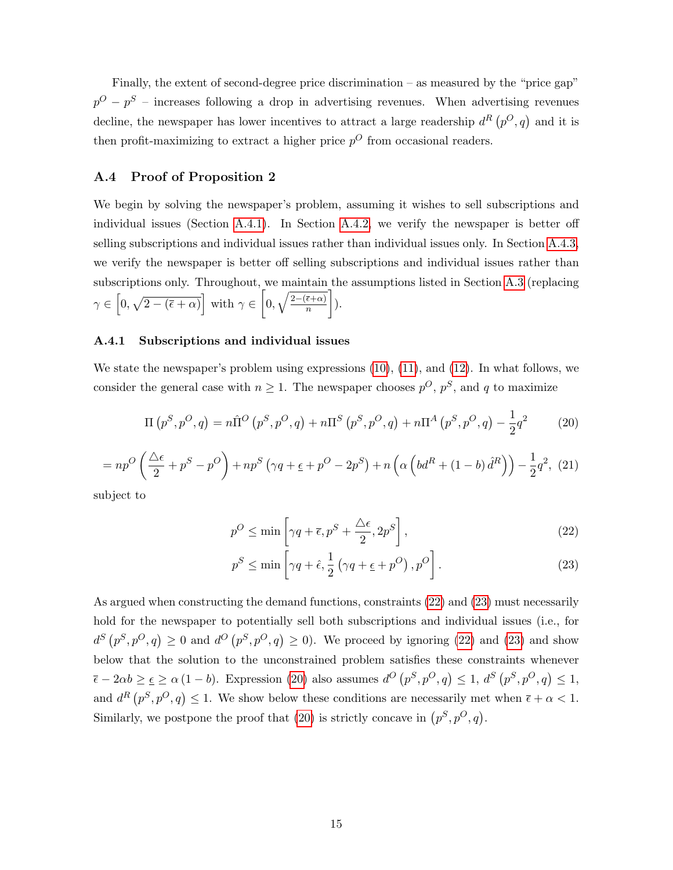Finally, the extent of second-degree price discrimination – as measured by the "price gap"  $p^{O} - p^{S}$  – increases following a drop in advertising revenues. When advertising revenues decline, the newspaper has lower incentives to attract a large readership  $d^{R}(p^{O},q)$  and it is then profit-maximizing to extract a higher price  $p^{O}$  from occasional readers.

### <span id="page-14-0"></span>A.4 Proof of Proposition 2

We begin by solving the newspaper's problem, assuming it wishes to sell subscriptions and individual issues (Section [A.4.1\)](#page-14-1). In Section [A.4.2,](#page-16-0) we verify the newspaper is better off selling subscriptions and individual issues rather than individual issues only. In Section [A.4.3,](#page-16-1) we verify the newspaper is better off selling subscriptions and individual issues rather than subscriptions only. Throughout, we maintain the assumptions listed in Section [A.3](#page-5-0) (replacing  $\gamma \in [0, \sqrt{2-(\overline{\epsilon}+\alpha)}]$  with  $\gamma \in [0, \sqrt{\frac{2-(\overline{\epsilon}+\alpha)}{n}}]$  $\overline{n}$  $\big]$ ).

### <span id="page-14-1"></span>A.4.1 Subscriptions and individual issues

We state the newspaper's problem using expressions [\(10\)](#page-8-4), [\(11\)](#page-9-0), and [\(12\)](#page-10-2). In what follows, we consider the general case with  $n \geq 1$ . The newspaper chooses  $p^O, p^S$ , and q to maximize

<span id="page-14-4"></span>
$$
\Pi(p^S, p^O, q) = n\hat{\Pi}^O(p^S, p^O, q) + n\Pi^S(p^S, p^O, q) + n\Pi^A(p^S, p^O, q) - \frac{1}{2}q^2 \tag{20}
$$

$$
= np^{O}\left(\frac{\triangle\epsilon}{2} + p^{S} - p^{O}\right) + np^{S}\left(\gamma q + \epsilon + p^{O} - 2p^{S}\right) + n\left(\alpha\left(bd^{R} + (1-b)\hat{d}^{R}\right)\right) - \frac{1}{2}q^{2}, (21)
$$

subject to

$$
p^{O} \le \min\left[\gamma q + \overline{\epsilon}, p^{S} + \frac{\Delta\epsilon}{2}, 2p^{S}\right],
$$
\n(22)

<span id="page-14-3"></span><span id="page-14-2"></span>
$$
p^{S} \le \min\left[\gamma q + \hat{\epsilon}, \frac{1}{2} \left(\gamma q + \underline{\epsilon} + p^{O}\right), p^{O}\right].
$$
\n(23)

As argued when constructing the demand functions, constraints [\(22\)](#page-14-2) and [\(23\)](#page-14-3) must necessarily hold for the newspaper to potentially sell both subscriptions and individual issues (i.e., for  $d^S(p^S, p^O, q) \geq 0$  and  $d^O(p^S, p^O, q) \geq 0$ . We proceed by ignoring [\(22\)](#page-14-2) and [\(23\)](#page-14-3) and show below that the solution to the unconstrained problem satisfies these constraints whenever  $\overline{\epsilon} - 2\alpha b \geq \epsilon \geq \alpha (1 - b)$ . Expression [\(20\)](#page-14-4) also assumes  $d^O(p^S, p^O, q) \leq 1$ ,  $d^S(p^S, p^O, q) \leq 1$ , and  $d^R(p^S, p^O, q) \leq 1$ . We show below these conditions are necessarily met when  $\bar{\epsilon} + \alpha < 1$ . Similarly, we postpone the proof that [\(20\)](#page-14-4) is strictly concave in  $(p^S, p^O, q)$ .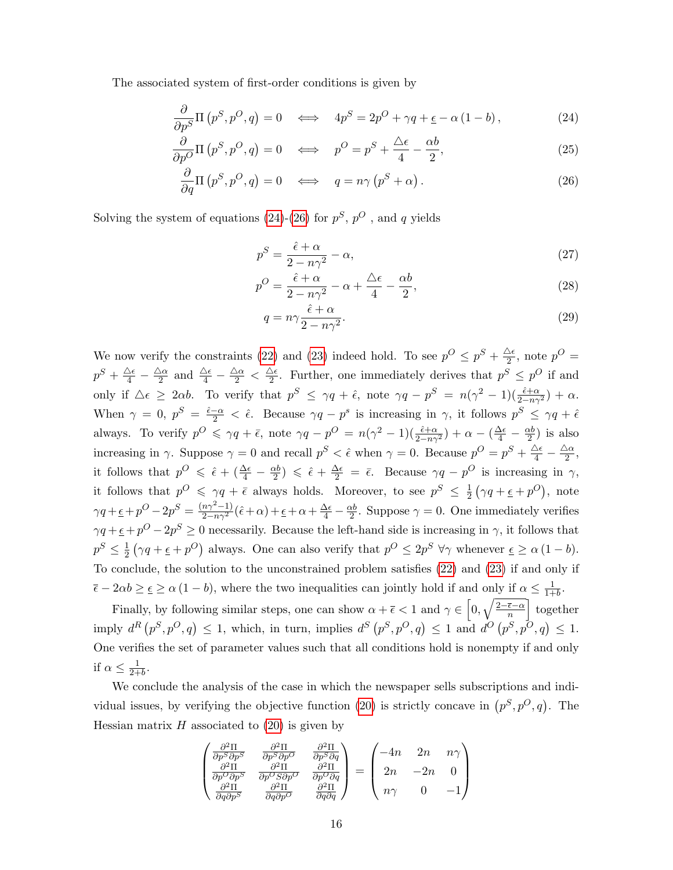The associated system of first-order conditions is given by

$$
\frac{\partial}{\partial p^S} \Pi(p^S, p^O, q) = 0 \iff 4p^S = 2p^O + \gamma q + \epsilon - \alpha (1 - b), \tag{24}
$$

$$
\frac{\partial}{\partial p^O} \Pi \left( p^S, p^O, q \right) = 0 \quad \Longleftrightarrow \quad p^O = p^S + \frac{\Delta \epsilon}{4} - \frac{\alpha b}{2}, \tag{25}
$$

$$
\frac{\partial}{\partial q} \Pi \left( p^S, p^O, q \right) = 0 \quad \Longleftrightarrow \quad q = n \gamma \left( p^S + \alpha \right). \tag{26}
$$

Solving the system of equations [\(24\)](#page-15-0)-[\(26\)](#page-15-1) for  $p^S$ ,  $p^O$ , and q yields

<span id="page-15-1"></span><span id="page-15-0"></span>
$$
p^S = \frac{\hat{\epsilon} + \alpha}{2 - n\gamma^2} - \alpha,\tag{27}
$$

$$
p^O = \frac{\hat{\epsilon} + \alpha}{2 - n\gamma^2} - \alpha + \frac{\Delta\epsilon}{4} - \frac{\alpha b}{2},\tag{28}
$$

$$
q = n\gamma \frac{\hat{\epsilon} + \alpha}{2 - n\gamma^2}.
$$
\n(29)

We now verify the constraints [\(22\)](#page-14-2) and [\(23\)](#page-14-3) indeed hold. To see  $p^{O} \leq p^{S} + \frac{\Delta \epsilon}{2}$  $\frac{\Delta \epsilon}{2}$ , note  $p^O =$  $p^S+\frac{\Delta\epsilon}{4}-\frac{\Delta\alpha}{2}$  $\frac{\Delta \alpha}{2}$  and  $\frac{\Delta \epsilon}{4} - \frac{\Delta \alpha}{2} < \frac{\Delta \epsilon}{2}$  $\frac{\Delta \epsilon}{2}$ . Further, one immediately derives that  $p^{S} \leq p^{O}$  if and only if  $\Delta \epsilon \geq 2\alpha b$ . To verify that  $p^S \leq \gamma q + \hat{\epsilon}$ , note  $\gamma q - p^S = n(\gamma^2 - 1)(\frac{\hat{\epsilon} + \alpha}{2 - n\gamma^2}) + \alpha$ . When  $\gamma = 0$ ,  $p^S = \frac{\hat{\epsilon} - \alpha}{2} < \hat{\epsilon}$ . Because  $\gamma q - p^s$  is increasing in  $\gamma$ , it follows  $p^S \leq \gamma q + \hat{\epsilon}$ always. To verify  $p^{\mathcal{O}} \leq \gamma q + \bar{\epsilon}$ , note  $\gamma q - p^{\mathcal{O}} = n(\gamma^2 - 1)(\frac{\hat{\epsilon} + \alpha}{2n\gamma^2}) + \alpha - (\frac{\Delta \epsilon}{4} - \frac{\alpha b}{2})$  $\frac{\alpha b}{2}$ ) is also increasing in  $\gamma$ . Suppose  $\gamma = 0$  and recall  $p^S < \hat{\epsilon}$  when  $\gamma = 0$ . Because  $p^O = p^S + \frac{\Delta \epsilon}{4} - \frac{\Delta \alpha}{2}$  $\frac{\Delta \alpha}{2}$ , it follows that  $p^O \leq \hat{\epsilon} + \left(\frac{\Delta \epsilon}{4} - \frac{\alpha b}{2}\right)$  $\frac{\alpha b}{2}$ )  $\leq \hat{\epsilon} + \frac{\Delta \epsilon}{2} = \bar{\epsilon}$ . Because  $\gamma q - p^O$  is increasing in  $\gamma$ , it follows that  $p^O \leq \gamma q + \bar{\epsilon}$  always holds. Moreover, to see  $p^S \leq \frac{1}{2}$  $\frac{1}{2}(\gamma q + \underline{\epsilon} + p^O), \text{ note}$  $\gamma q + \underline{\epsilon} + p^O - 2p^S = \frac{(n\gamma^2 - 1)}{2 - n\gamma^2}(\hat{\epsilon} + \alpha) + \underline{\epsilon} + \alpha + \frac{\Delta\epsilon}{4} - \frac{\alpha b}{2}$  $\frac{\alpha b}{2}$ . Suppose  $\gamma = 0$ . One immediately verifies  $\gamma q + \epsilon + p^O - 2p^S \geq 0$  necessarily. Because the left-hand side is increasing in  $\gamma$ , it follows that  $p^S \leq \frac{1}{2}$  $\frac{1}{2}(\gamma q + \epsilon + p^O)$  always. One can also verify that  $p^O \le 2p^S \ \forall \gamma$  whenever  $\epsilon \ge \alpha (1 - b)$ . To conclude, the solution to the unconstrained problem satisfies [\(22\)](#page-14-2) and [\(23\)](#page-14-3) if and only if  $\overline{\epsilon} - 2\alpha b \geq \epsilon \geq \alpha (1 - b)$ , where the two inequalities can jointly hold if and only if  $\alpha \leq \frac{1}{1 + b}$  $\frac{1}{1+b}$ .

Finally, by following similar steps, one can show  $\alpha + \bar{\epsilon} < 1$  and  $\gamma \in \left[0, \sqrt{\frac{2-\bar{\epsilon}-\alpha}{n}}\right]$  $\frac{\overline{\epsilon}-\alpha}{n}$  together imply  $d^R(p^S, p^O, q) \leq 1$ , which, in turn, implies  $d^S(p^S, p^O, q) \leq 1$  and  $d^O(p^S, p^O, q) \leq 1$ . One verifies the set of parameter values such that all conditions hold is nonempty if and only if  $\alpha \leq \frac{1}{2+1}$  $\frac{1}{2+b}$ .

We conclude the analysis of the case in which the newspaper sells subscriptions and indi-vidual issues, by verifying the objective function [\(20\)](#page-14-4) is strictly concave in  $(p^S, p^O, q)$ . The Hessian matrix  $H$  associated to  $(20)$  is given by

$$
\begin{pmatrix}\n\frac{\partial^2 \Pi}{\partial p^S \partial p^S} & \frac{\partial^2 \Pi}{\partial p^S \partial p^O} & \frac{\partial^2 \Pi}{\partial p^S \partial q} \\
\frac{\partial^2 \Pi}{\partial p^O \partial p^S} & \frac{\partial^2 \Pi}{\partial p^O S \partial p^O} & \frac{\partial^2 \Pi}{\partial p^O \partial q} \\
\frac{\partial^2 \Pi}{\partial q \partial p^S} & \frac{\partial^2 \Pi}{\partial q \partial p^O} & \frac{\partial^2 \Pi}{\partial q \partial q}\n\end{pmatrix} = \begin{pmatrix}\n-4n & 2n & n\gamma \\
2n & -2n & 0 \\
n\gamma & 0 & -1\n\end{pmatrix}
$$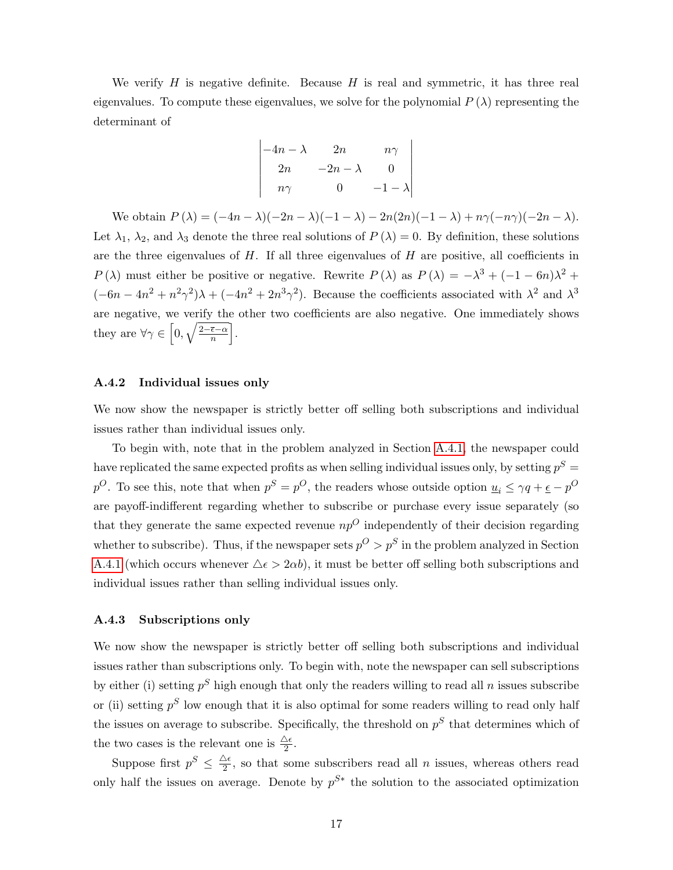We verify  $H$  is negative definite. Because  $H$  is real and symmetric, it has three real eigenvalues. To compute these eigenvalues, we solve for the polynomial  $P(\lambda)$  representing the determinant of

$$
\begin{vmatrix}\n-4n - \lambda & 2n & n\gamma \\
2n & -2n - \lambda & 0 \\
n\gamma & 0 & -1 - \lambda\n\end{vmatrix}
$$

We obtain  $P(\lambda) = (-4n - \lambda)(-2n - \lambda)(-1 - \lambda) - 2n(2n)(-1 - \lambda) + n\gamma(-n\gamma)(-2n - \lambda).$ Let  $\lambda_1$ ,  $\lambda_2$ , and  $\lambda_3$  denote the three real solutions of  $P(\lambda) = 0$ . By definition, these solutions are the three eigenvalues of  $H$ . If all three eigenvalues of  $H$  are positive, all coefficients in P( $\lambda$ ) must either be positive or negative. Rewrite P( $\lambda$ ) as P( $\lambda$ ) =  $-\lambda^3 + (-1 - 6n)\lambda^2 +$  $(-6n - 4n^2 + n^2\gamma^2)\lambda + (-4n^2 + 2n^3\gamma^2)$ . Because the coefficients associated with  $\lambda^2$  and  $\lambda^3$ are negative, we verify the other two coefficients are also negative. One immediately shows they are  $\forall \gamma \in \left[0, \sqrt{\frac{2-\bar{\epsilon}-\alpha}{n}}\right]$  $\frac{\overline{\epsilon}-\alpha}{n}$ .

#### <span id="page-16-0"></span>A.4.2 Individual issues only

We now show the newspaper is strictly better off selling both subscriptions and individual issues rather than individual issues only.

To begin with, note that in the problem analyzed in Section [A.4.1,](#page-14-1) the newspaper could have replicated the same expected profits as when selling individual issues only, by setting  $p^S =$  $p^O$ . To see this, note that when  $p^S = p^O$ , the readers whose outside option  $\underline{u}_i \leq \gamma q + \underline{\epsilon} - p^O$ are payoff-indifferent regarding whether to subscribe or purchase every issue separately (so that they generate the same expected revenue  $np^{O}$  independently of their decision regarding whether to subscribe). Thus, if the newspaper sets  $p^O > p^S$  in the problem analyzed in Section [A.4.1](#page-14-1) (which occurs whenever  $\Delta \epsilon > 2\alpha b$ ), it must be better off selling both subscriptions and individual issues rather than selling individual issues only.

### <span id="page-16-1"></span>A.4.3 Subscriptions only

We now show the newspaper is strictly better off selling both subscriptions and individual issues rather than subscriptions only. To begin with, note the newspaper can sell subscriptions by either (i) setting  $p^S$  high enough that only the readers willing to read all n issues subscribe or (ii) setting  $p^S$  low enough that it is also optimal for some readers willing to read only half the issues on average to subscribe. Specifically, the threshold on  $p<sup>S</sup>$  that determines which of the two cases is the relevant one is  $\frac{\Delta \epsilon}{2}$ .

Suppose first  $p^S \n\leq \frac{\Delta \epsilon}{2}$  $\frac{\Delta \epsilon}{2}$ , so that some subscribers read all *n* issues, whereas others read only half the issues on average. Denote by  $p^{S*}$  the solution to the associated optimization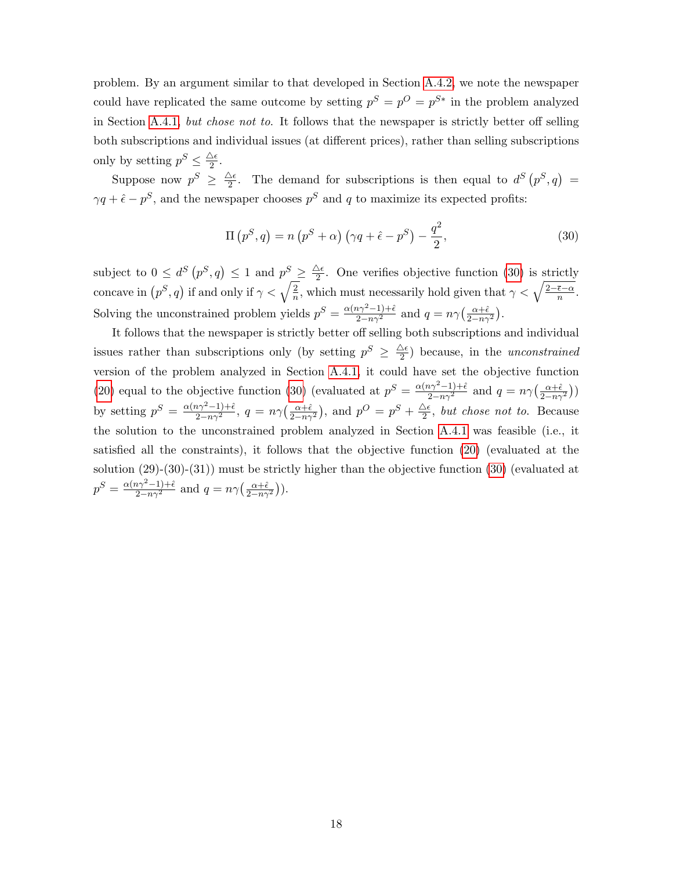problem. By an argument similar to that developed in Section [A.4.2,](#page-16-0) we note the newspaper could have replicated the same outcome by setting  $p^S = p^O = p^{S*}$  in the problem analyzed in Section [A.4.1,](#page-14-1) but chose not to. It follows that the newspaper is strictly better off selling both subscriptions and individual issues (at different prices), rather than selling subscriptions only by setting  $p^S \leq \frac{\Delta \epsilon}{2}$  $\frac{\Delta \epsilon}{2}$ .

Suppose now  $p^S \geq \frac{\Delta \epsilon}{2}$  $\frac{\Delta \epsilon}{2}$ . The demand for subscriptions is then equal to  $d^S(p^S, q)$  =  $\gamma q + \hat{\epsilon} - p^S$ , and the newspaper chooses  $p^S$  and q to maximize its expected profits:

<span id="page-17-0"></span>
$$
\Pi(p^S, q) = n(p^S + \alpha) \left(\gamma q + \hat{\epsilon} - p^S\right) - \frac{q^2}{2},\tag{30}
$$

subject to  $0 \leq d^S(p^S, q) \leq 1$  and  $p^S \geq \frac{\Delta \epsilon}{2}$  $\frac{\Delta \epsilon}{2}$ . One verifies objective function [\(30\)](#page-17-0) is strictly concave in  $(p^S, q)$  if and only if  $\gamma < \sqrt{\frac{2}{n}}$  $\frac{2}{n}$ , which must necessarily hold given that  $\gamma < \sqrt{\frac{2-\bar{\epsilon}-\alpha}{n}}$  $\frac{\epsilon-\alpha}{n}$ . Solving the unconstrained problem yields  $p^S = \frac{\alpha(n\gamma^2 - 1) + \hat{\epsilon}}{2 - n\gamma^2}$  and  $q = n\gamma \left(\frac{\alpha + \hat{\epsilon}}{2 - n\gamma^2}\right)$ .

It follows that the newspaper is strictly better off selling both subscriptions and individual issues rather than subscriptions only (by setting  $p^{S} \geq \frac{\Delta \epsilon}{2}$  $\frac{\Delta \epsilon}{2}$ ) because, in the *unconstrained* version of the problem analyzed in Section [A.4.1,](#page-14-1) it could have set the objective function [\(20\)](#page-14-4) equal to the objective function [\(30\)](#page-17-0) (evaluated at  $p^S = \frac{\alpha(n\gamma^2 - 1) + \hat{\epsilon}}{2 - n\gamma^2}$  and  $q = n\gamma \left(\frac{\alpha + \hat{\epsilon}}{2 - n\gamma^2}\right)$ ) by setting  $p^S = \frac{\alpha(n\gamma^2 - 1) + \hat{\epsilon}}{2 - n\gamma^2}$ ,  $q = n\gamma \left(\frac{\alpha + \hat{\epsilon}}{2 - n\gamma^2}\right)$ , and  $p^O = p^S + \frac{\Delta \epsilon}{2}$  $\frac{\Delta \epsilon}{2}$ , but chose not to. Because the solution to the unconstrained problem analyzed in Section [A.4.1](#page-14-1) was feasible (i.e., it satisfied all the constraints), it follows that the objective function [\(20\)](#page-14-4) (evaluated at the solution (29)-(30)-(31)) must be strictly higher than the objective function [\(30\)](#page-17-0) (evaluated at  $p^S = \frac{\alpha (n \gamma^2 - 1) + \hat{\epsilon}}{2 - n \gamma^2}$  and  $q = n \gamma \left( \frac{\alpha + \hat{\epsilon}}{2 - n \gamma^2} \right)$ .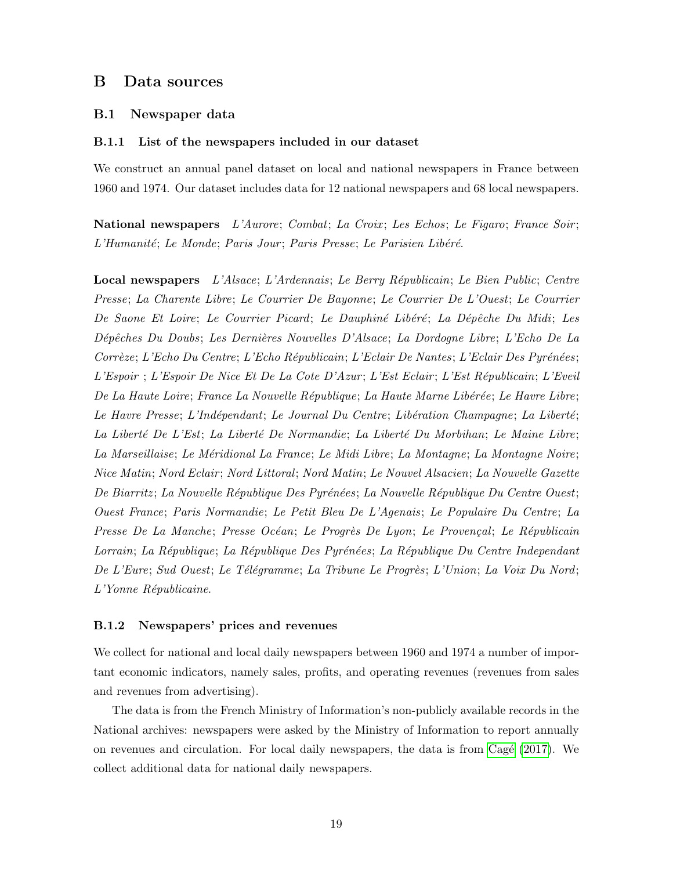### <span id="page-18-0"></span>B Data sources

### B.1 Newspaper data

### B.1.1 List of the newspapers included in our dataset

We construct an annual panel dataset on local and national newspapers in France between 1960 and 1974. Our dataset includes data for 12 national newspapers and 68 local newspapers.

National newspapers L'Aurore; Combat; La Croix; Les Echos; Le Figaro; France Soir; L'Humanité; Le Monde; Paris Jour; Paris Presse; Le Parisien Libéré.

Local newspapers L'Alsace; L'Ardennais; Le Berry Républicain; Le Bien Public; Centre Presse; La Charente Libre; Le Courrier De Bayonne; Le Courrier De L'Ouest; Le Courrier De Saone Et Loire; Le Courrier Picard; Le Dauphiné Libéré; La Dépêche Du Midi; Les Dépêches Du Doubs; Les Dernières Nouvelles D'Alsace; La Dordogne Libre; L'Echo De La Corrèze; L'Echo Du Centre; L'Echo Républicain; L'Eclair De Nantes; L'Eclair Des Pyrénées; L'Espoir ; L'Espoir De Nice Et De La Cote D'Azur; L'Est Eclair; L'Est Républicain; L'Eveil De La Haute Loire; France La Nouvelle République; La Haute Marne Libérée; Le Havre Libre; Le Havre Presse; L'Indépendant; Le Journal Du Centre; Libération Champagne; La Liberté; La Liberté De L'Est; La Liberté De Normandie; La Liberté Du Morbihan; Le Maine Libre; La Marseillaise; Le Méridional La France; Le Midi Libre; La Montagne; La Montagne Noire; Nice Matin; Nord Eclair ; Nord Littoral; Nord Matin; Le Nouvel Alsacien; La Nouvelle Gazette De Biarritz; La Nouvelle République Des Pyrénées; La Nouvelle République Du Centre Ouest; Ouest France; Paris Normandie; Le Petit Bleu De L'Agenais; Le Populaire Du Centre; La Presse De La Manche; Presse Océan; Le Progrès De Lyon; Le Provençal; Le Républicain Lorrain; La République; La République Des Pyrénées; La République Du Centre Independant De L'Eure; Sud Ouest; Le Télégramme; La Tribune Le Progrès; L'Union; La Voix Du Nord; L'Yonne Républicaine.

### B.1.2 Newspapers' prices and revenues

We collect for national and local daily newspapers between 1960 and 1974 a number of important economic indicators, namely sales, profits, and operating revenues (revenues from sales and revenues from advertising).

The data is from the French Ministry of Information's non-publicly available records in the National archives: newspapers were asked by the Ministry of Information to report annually on revenues and circulation. For local daily newspapers, the data is from Cagé  $(2017)$ . We collect additional data for national daily newspapers.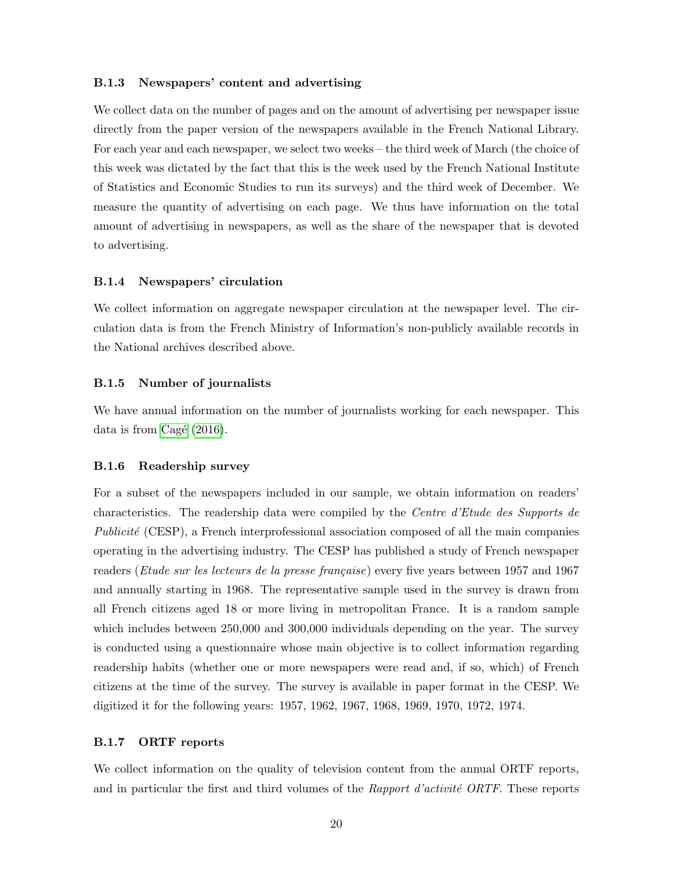### B.1.3 Newspapers' content and advertising

We collect data on the number of pages and on the amount of advertising per newspaper issue directly from the paper version of the newspapers available in the French National Library. For each year and each newspaper, we select two weeks – the third week of March (the choice of this week was dictated by the fact that this is the week used by the French National Institute of Statistics and Economic Studies to run its surveys) and the third week of December. We measure the quantity of advertising on each page. We thus have information on the total amount of advertising in newspapers, as well as the share of the newspaper that is devoted to advertising.

### B.1.4 Newspapers' circulation

We collect information on aggregate newspaper circulation at the newspaper level. The circulation data is from the French Ministry of Information's non-publicly available records in the National archives described above.

### B.1.5 Number of journalists

We have annual information on the number of journalists working for each newspaper. This data is from Cagé  $(2016)$ .

#### B.1.6 Readership survey

For a subset of the newspapers included in our sample, we obtain information on readers' characteristics. The readership data were compiled by the Centre d'Etude des Supports de Publicité (CESP), a French interprofessional association composed of all the main companies operating in the advertising industry. The CESP has published a study of French newspaper readers (*Etude sur les lecteurs de la presse française*) every five years between 1957 and 1967 and annually starting in 1968. The representative sample used in the survey is drawn from all French citizens aged 18 or more living in metropolitan France. It is a random sample which includes between  $250,000$  and  $300,000$  individuals depending on the year. The survey is conducted using a questionnaire whose main objective is to collect information regarding readership habits (whether one or more newspapers were read and, if so, which) of French citizens at the time of the survey. The survey is available in paper format in the CESP. We digitized it for the following years: 1957, 1962, 1967, 1968, 1969, 1970, 1972, 1974.

### B.1.7 ORTF reports

We collect information on the quality of television content from the annual ORTF reports, and in particular the first and third volumes of the Rapport d'activité  $ORTF$ . These reports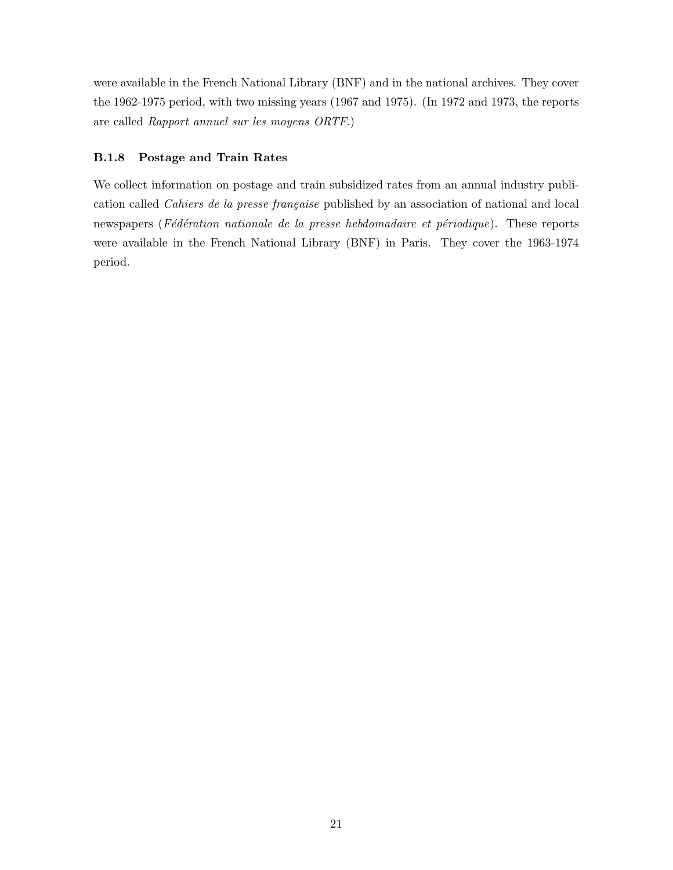were available in the French National Library (BNF) and in the national archives. They cover the 1962-1975 period, with two missing years (1967 and 1975). (In 1972 and 1973, the reports are called Rapport annuel sur les moyens ORTF.)

### B.1.8 Postage and Train Rates

We collect information on postage and train subsidized rates from an annual industry publication called Cahiers de la presse française published by an association of national and local newspapers (Fédération nationale de la presse hebdomadaire et périodique). These reports were available in the French National Library (BNF) in Paris. They cover the 1963-1974 period.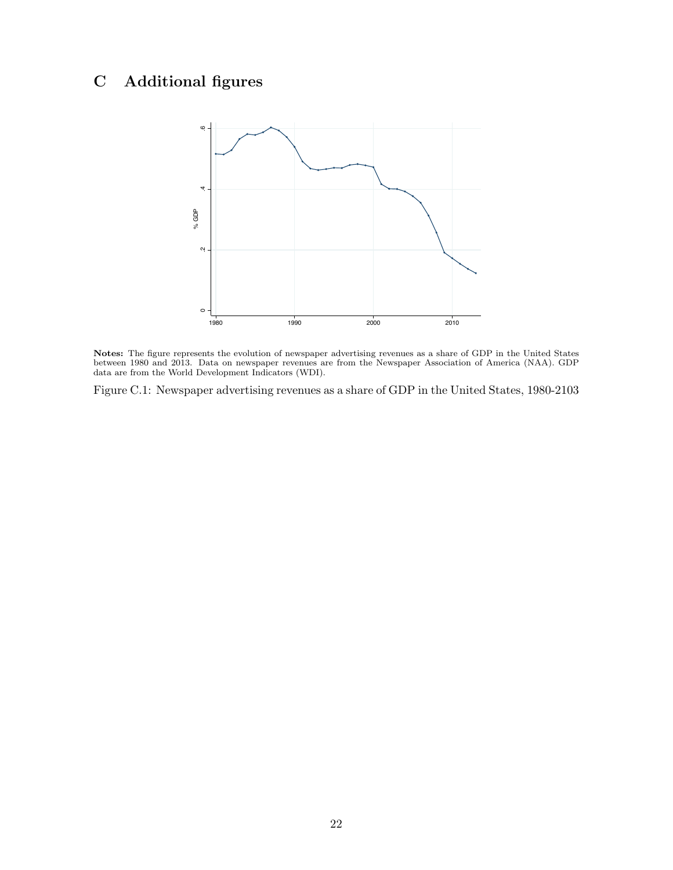# <span id="page-21-0"></span>C Additional figures



Notes: The figure represents the evolution of newspaper advertising revenues as a share of GDP in the United States between 1980 and 2013. Data on newspaper revenues are from the Newspaper Association of America (NAA). GDP data are from the World Development Indicators (WDI).

Figure C.1: Newspaper advertising revenues as a share of GDP in the United States, 1980-2103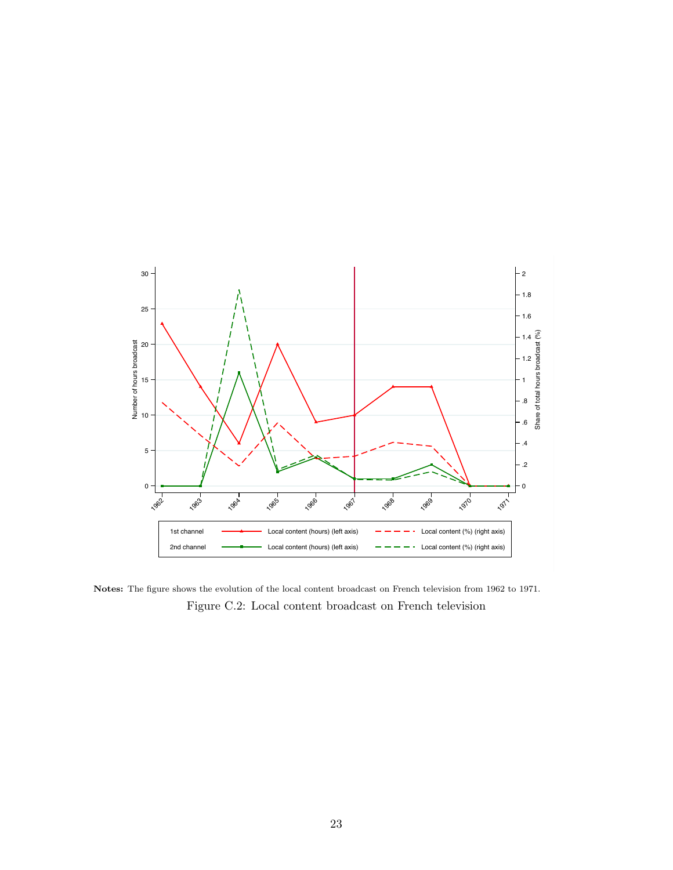

Notes: The figure shows the evolution of the local content broadcast on French television from 1962 to 1971. Figure C.2: Local content broadcast on French television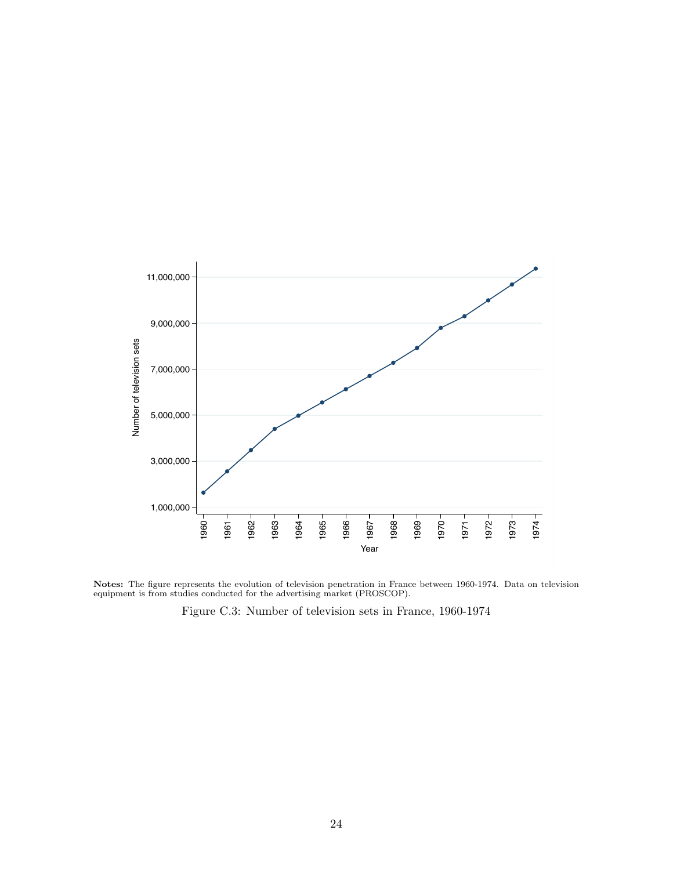

Notes: The figure represents the evolution of television penetration in France between 1960-1974. Data on television equipment is from studies conducted for the advertising market (PROSCOP).

Figure C.3: Number of television sets in France, 1960-1974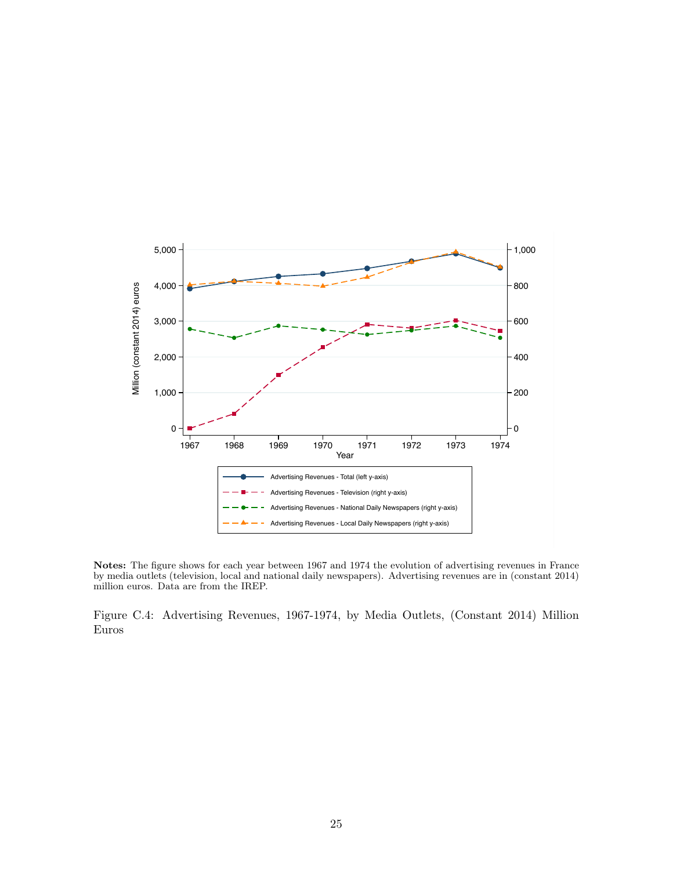

Notes: The figure shows for each year between 1967 and 1974 the evolution of advertising revenues in France by media outlets (television, local and national daily newspapers). Advertising revenues are in (constant 2014) million euros. Data are from the IREP.

Figure C.4: Advertising Revenues, 1967-1974, by Media Outlets, (Constant 2014) Million Euros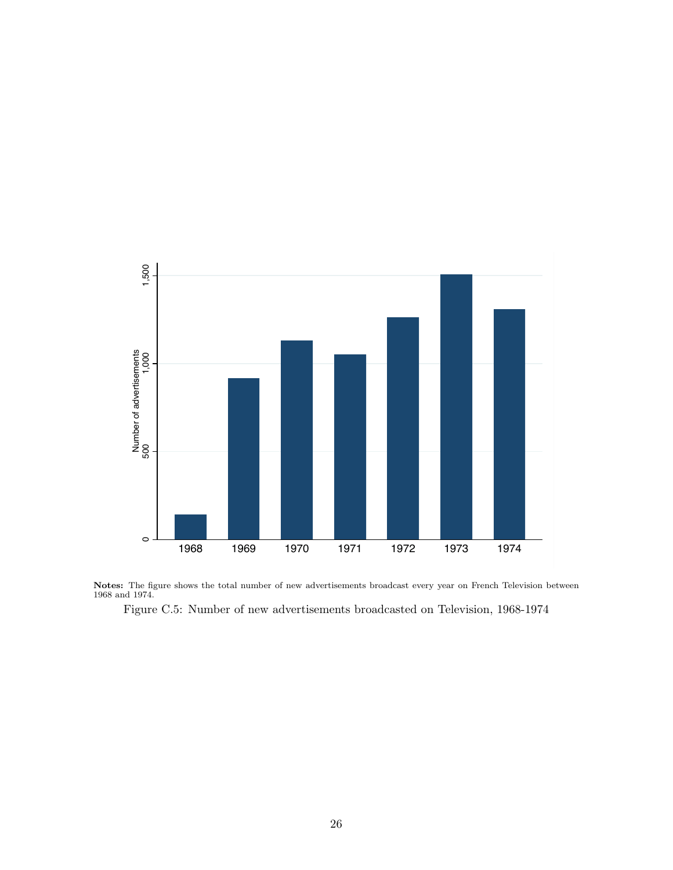

Notes: The figure shows the total number of new advertisements broadcast every year on French Television between 1968 and 1974.

Figure C.5: Number of new advertisements broadcasted on Television, 1968-1974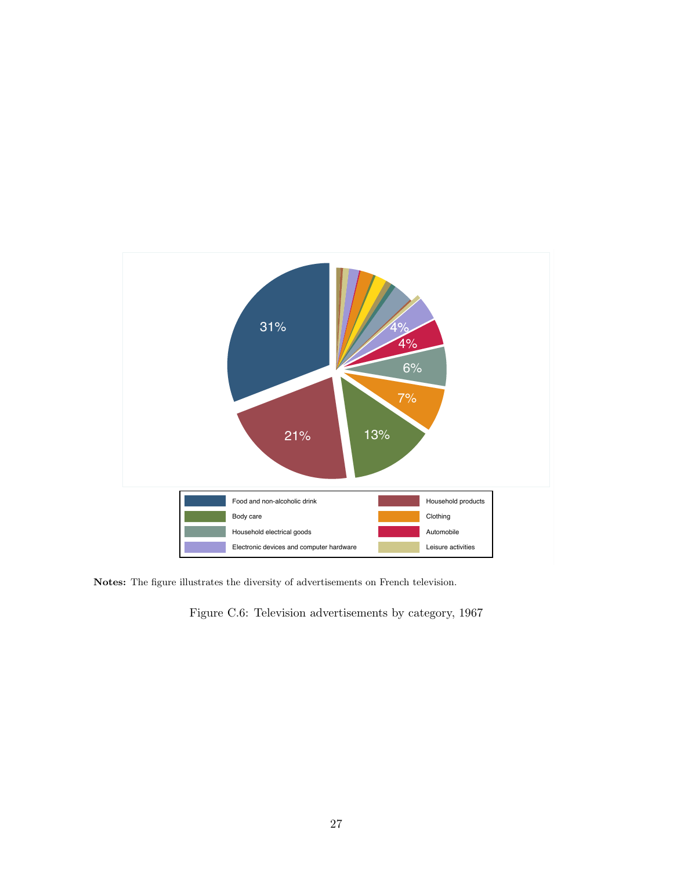

Notes: The figure illustrates the diversity of advertisements on French television.

Figure C.6: Television advertisements by category, 1967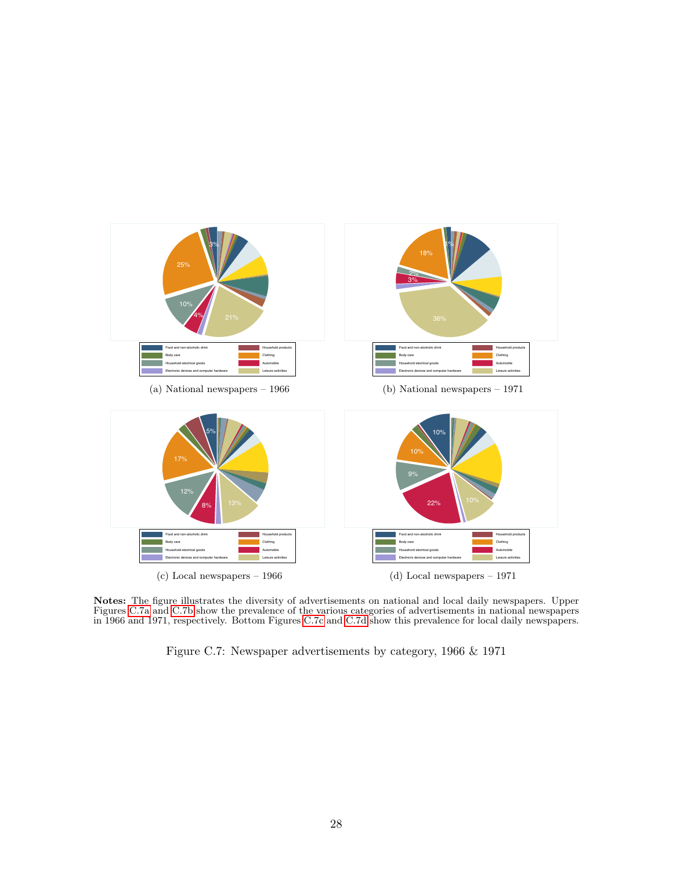<span id="page-27-1"></span><span id="page-27-0"></span>

<span id="page-27-2"></span>Notes: The figure illustrates the diversity of advertisements on national and local daily newspapers. Upper Figures [C.7a](#page-27-0) and [C.7b](#page-27-1) show the prevalence of the various categories of advertisements in national newspapers in 1966 and 1971, respectively. Bottom Figures [C.7c](#page-27-2) and [C.7d](#page-27-3) show this prevalence for local daily newspapers.

<span id="page-27-3"></span>Figure C.7: Newspaper advertisements by category, 1966 & 1971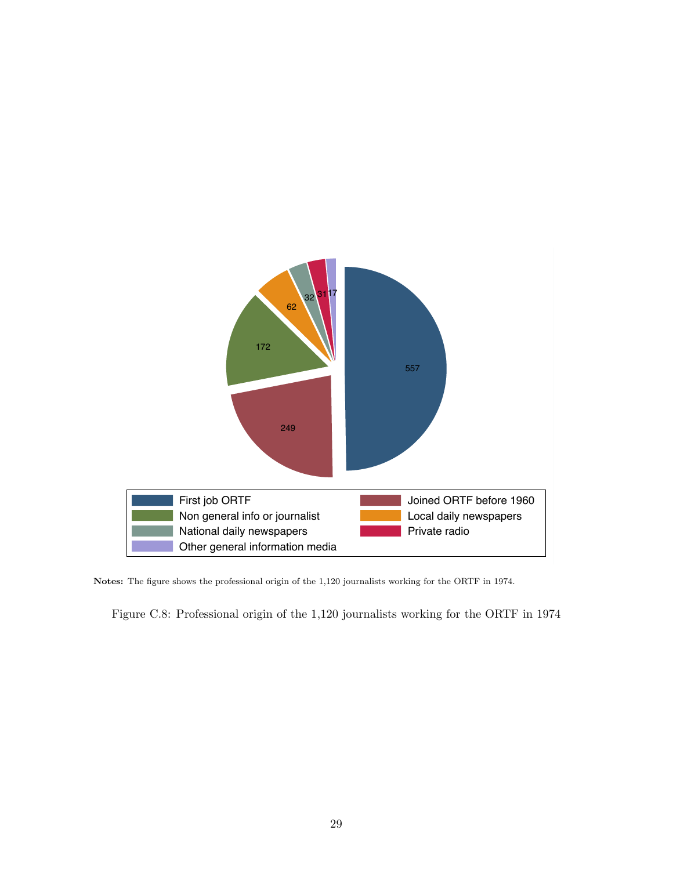

Notes: The figure shows the professional origin of the 1,120 journalists working for the ORTF in 1974.

Figure C.8: Professional origin of the 1,120 journalists working for the ORTF in 1974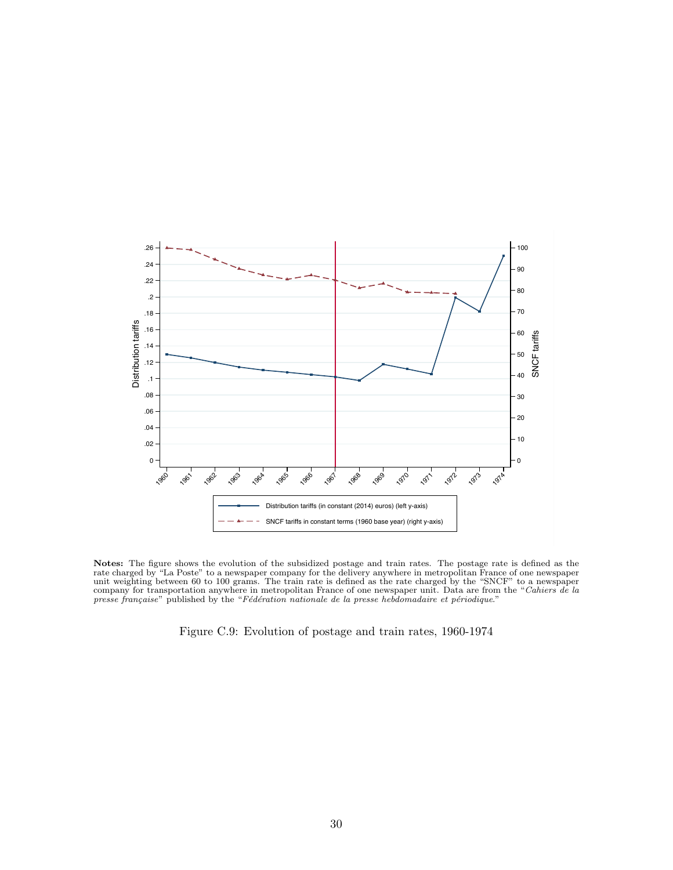

Notes: The figure shows the evolution of the subsidized postage and train rates. The postage rate is defined as the rate charged by "La Poste" to a newspaper company for the delivery anywhere in metropolitan France of one newspaper unit weighting between 60 to 100 grams. The train rate is defined as the rate charged by the "SNCF" to a newspaper company for transportation anywhere in metropolitan France of one newspaper unit. Data are from the "Cahiers de la presse française" published by the "Fédération nationale de la presse hebdomadaire et périodique."

Figure C.9: Evolution of postage and train rates, 1960-1974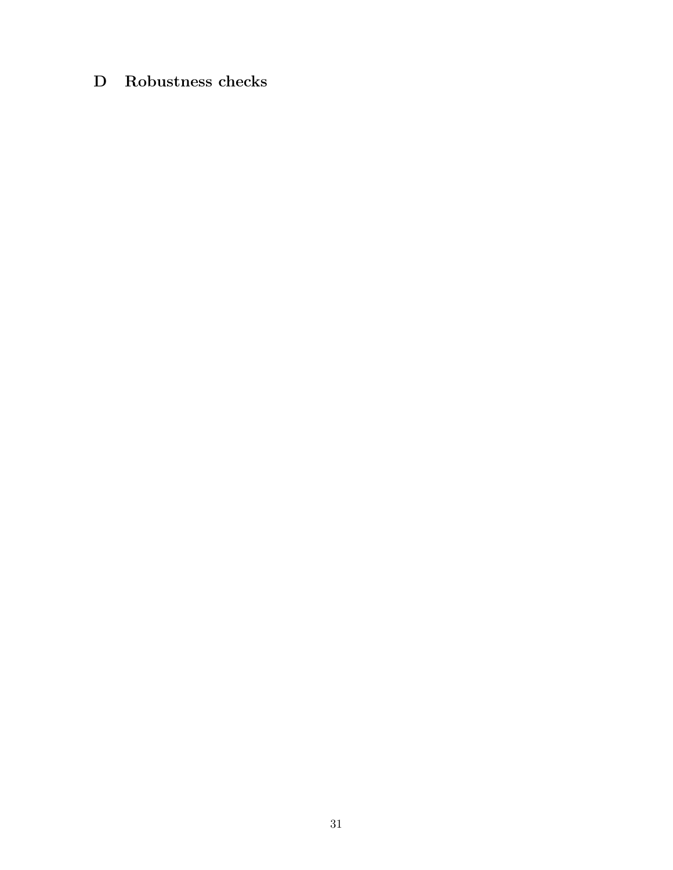# <span id="page-30-0"></span>D Robustness checks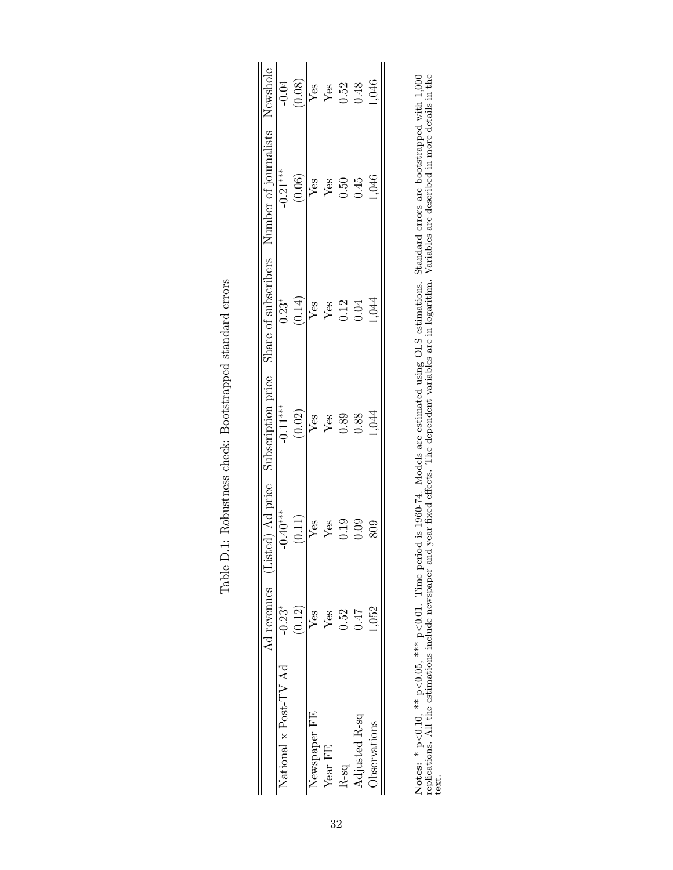|                                                                                                      | $-0.04$               | (0.08) | ${\rm Yes}$  | $\rm Yes$               | 0.52    | 0.48          | 1,046               |  |
|------------------------------------------------------------------------------------------------------|-----------------------|--------|--------------|-------------------------|---------|---------------|---------------------|--|
| Ad revenues (Listed) Ad price Subscription price Share of subscribers Number of journalists Newshole | $-0.21***$            | (0.06) | Yes          | $\mathbf{Y}\mathbf{es}$ | 0.50    | 0.45          | 1,046               |  |
|                                                                                                      | $0.23*$               | (0.14) | $\rm Yes$    | $\mathbf{Y}\mathbf{es}$ | 0.12    | 0.04          | 1,044               |  |
|                                                                                                      | $-0.11***$            | (0.02) | $\rm Yes$    | Yes                     | 0.89    | 0.88          | 1,044               |  |
|                                                                                                      | $-0.40***$            | (0.11) | Yes          | Yes                     | 0.19    | 0.09          | 809                 |  |
|                                                                                                      | $-0.23*$              | (0.12) | Yes          | $Y$ es                  | 0.52    | 747           | 1,052               |  |
|                                                                                                      | Vational x Post-TV Ad |        | Newspaper FE | Year FE                 | $2$ -sq | Adjusted R-sq | <b>D</b> servations |  |

| <b>Contact Contact</b><br>$\frac{1}{1}$<br>i,                                   |
|---------------------------------------------------------------------------------|
| 5<br>}<br>)<br>1                                                                |
| $+$ atronomod atomdoro<br>)<br>)<br> <br> <br> <br> <br> <br>$\frac{1}{2}$<br>ſ |
| $\vdots$<br>j                                                                   |
| į<br>i                                                                          |
| ו<br>ו<br>$\overline{a}$<br>$\frac{1}{2}$<br>l<br>l                             |

Notes: \* p<0.10, \*\* p<0.05, \*\*\* p<0.01. Time period is 1960-74. Models are estimated using OLS estimations. Standard errors are bootstrapped with 1,000 replications. All the estimations include newspaper and year fixed effects. The dependent variables are in logarithm. Variables are described in more details in the Notes: \*  $p<0.10$ , \*\*  $p<0.05$ , \*\*\*  $p<0.01$ . Time period is 1960-74. Models are estimated using OLS estimations. Standard errors are bootstrapped with 1,000 replications. All the estimations include newspaper and year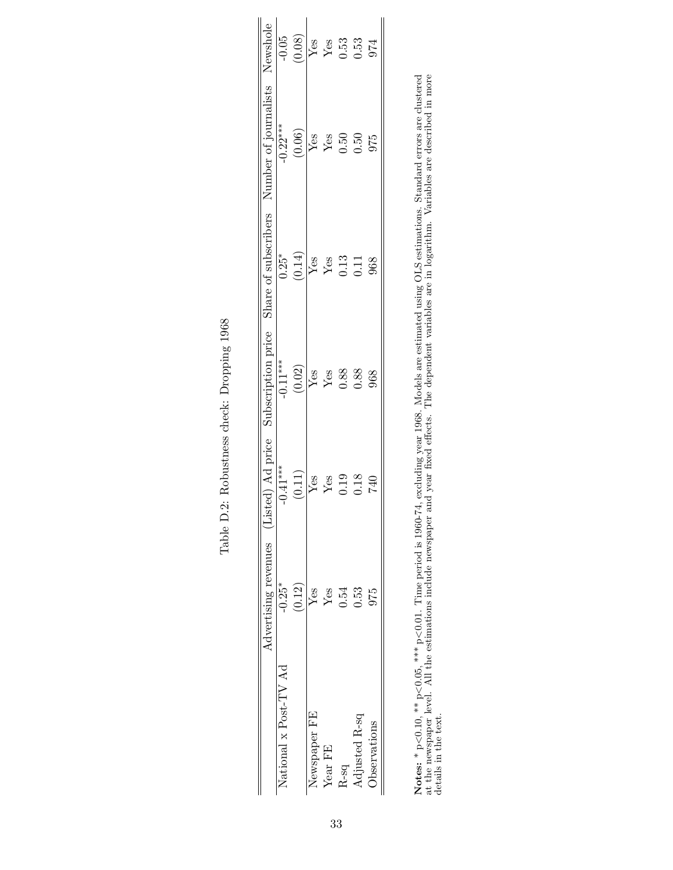|          |                   |            |                          | Advertising revenues (Listed) Ad price Subscription price Share of subscribers Number of journalists Newshole |                                                                                                                                                                                    |
|----------|-------------------|------------|--------------------------|---------------------------------------------------------------------------------------------------------------|------------------------------------------------------------------------------------------------------------------------------------------------------------------------------------|
| $-0.25*$ | $0.41***$         | $-0.11***$ | $0.25*$                  | $-0.22***$                                                                                                    |                                                                                                                                                                                    |
| (0.12)   | (0.11)            |            | $\left(0.14\right)$      |                                                                                                               | $\frac{1}{1000}$<br>$\frac{(0.08)}{Y}$<br>$\frac{1}{1000}$<br>$\frac{1}{1000}$<br>$\frac{1}{1000}$<br>$\frac{1}{1000}$<br>$\frac{1}{1000}$<br>$\frac{1}{1000}$<br>$\frac{1}{1000}$ |
| Yes      | $\overline{Y}$ es |            |                          |                                                                                                               |                                                                                                                                                                                    |
| Yes      | $\rm Yes$         |            |                          |                                                                                                               |                                                                                                                                                                                    |
| 0.54     | 0.19              | 0.88       |                          |                                                                                                               |                                                                                                                                                                                    |
| 0.53     | 0.18              | 0.88       |                          | 0.50                                                                                                          |                                                                                                                                                                                    |
| 975      |                   | 968        | 968                      | 975                                                                                                           | 974                                                                                                                                                                                |
|          |                   |            | $\frac{(0.02)}{Yes}$ Yes | Yes<br>Yes<br>0.13<br>11                                                                                      | $\begin{array}{c c} (0.06) \\ \hline \text{Yes} \\ \text{Yes} \\ \text{Yes} \\ 0.50 \end{array}$                                                                                   |

| くくり                         |  |
|-----------------------------|--|
| くうこうこう<br>í<br>ı<br>ſ       |  |
| l<br>.<br>;<br>;            |  |
| 5500000<br>י<br>י<br>ĺ<br>I |  |
| ¢<br>į<br>I<br>I            |  |

Notes: \*  $p<0.10$ , \*\*  $p<0.05$ , \*\*\*  $p<0.01$ . Time period is 1960-74, excluding year 1968. Models are estimated using OLS estimations. Standard errors are clustered at the newspaper level. All the estimations include n Notes: \* p<0.10, \*\* p<0.05, \*\*\* p<0.01. Time period is 1960-74, excluding year 1968. Models are estimated using OLS estimations. Standard errors are clustered  $\Lambda$ at the newspaper level. All the estimations include newspaper and year fixed effects. The dependent variables are in logarithm. Variables are described in more details in the text.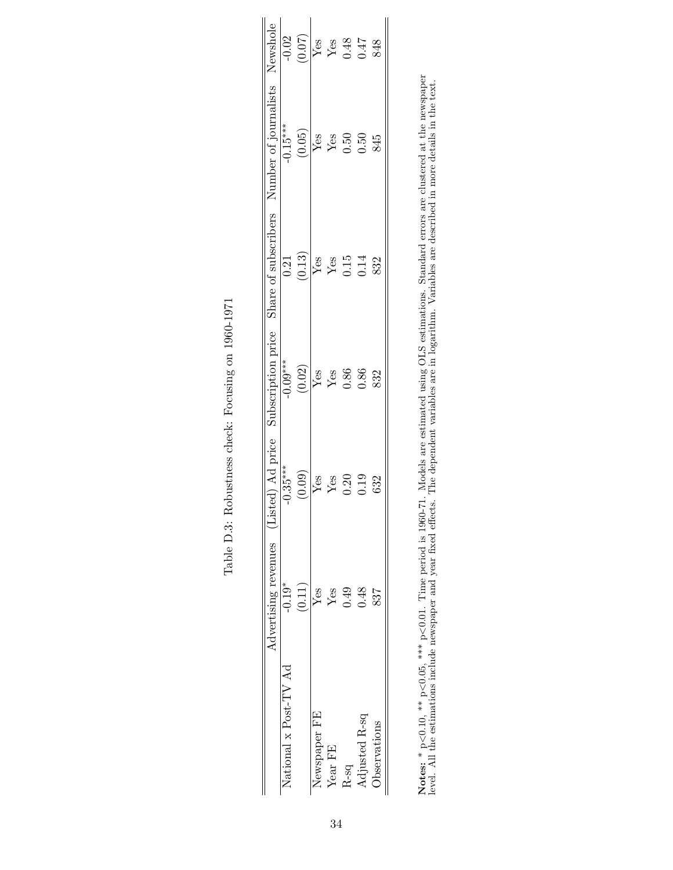|                                                                                                               | $-0.02$               | (70.07) | Yes               |         | $Y_{es}$<br>0.48<br>0.47 |               | 848                  |  |
|---------------------------------------------------------------------------------------------------------------|-----------------------|---------|-------------------|---------|--------------------------|---------------|----------------------|--|
| Advertising revenues (Listed) Ad price Subscription price Share of subscribers Number of journalists Newshole | $-0.15***$            | (0.05)  | $\overline{Y}$ es | Yes     | 0.50                     | 0.50          | 845                  |  |
|                                                                                                               | 0.21                  | (0.13)  | ${\rm Yes}$       | Yes     | 0.15                     | 0.14          | 832                  |  |
|                                                                                                               | $-0.09***$            | (0.02)  | ${\rm Yes}$       | Yes     | 0.86                     | 0.86          | 832                  |  |
|                                                                                                               | $0.35***$             | (0.09)  | $Y$ es            | Yes     | 0.20                     | 0.19          | 632                  |  |
|                                                                                                               | $-0.19*$              | (0.11)  | Yes               | Yes     | 0.49                     | 0.48          | 837                  |  |
|                                                                                                               | National x Post-TV Ad |         | Newspaper FE      | Year FE | R-sq                     | Adjusted R-sq | <b>J</b> bservations |  |

Notes: \*  $p<0.10$ , \*\*  $p<0.05$ , \*\*\*  $p<0.01$ . Time period is 1960-71. Models are estimated using OLS estimations. Standard errors are clustered at the newspaper level. All the estimations include newspaper and year fix Notes: \* p<0.10, \*\*\* p<0.05, \*\*\* p<0.01. Time period is 1960-71. Models are estimated using OLS estimations. Standard errors are clustered at the newspaper level. All the estimations include newspaper and year fixed effects. The dependent variables are in logarithm. Variables are described in more details in the text.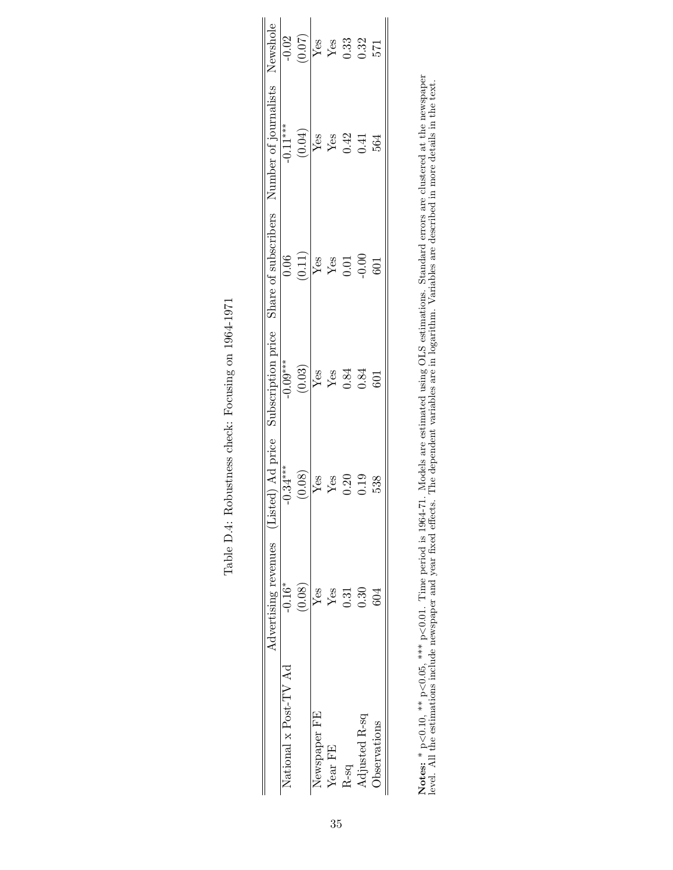| $0.34***$<br>(0.08)<br>Yes |                  |        | Advertising revenues (Listed) Ad price Subscription price Share of subscribers Number of journalists Newshole |                        |
|----------------------------|------------------|--------|---------------------------------------------------------------------------------------------------------------|------------------------|
|                            | $-0.09***$       | 0.06   | $-0.11***$                                                                                                    |                        |
|                            | $(0.03)$         | (0.11) | (0.04)                                                                                                        | $\frac{-0.02}{(0.07)}$ |
|                            | $\frac{Y}{Y}$ es |        | $\frac{V_{\text{ess}}}{Y_{\text{ess}}}$                                                                       | Yes                    |
| Yes                        |                  |        |                                                                                                               |                        |
| 0.20                       |                  |        |                                                                                                               |                        |
| 0.19                       |                  |        |                                                                                                               | $Y_{63}$<br>$0.32$     |
| 538                        | 601              | 601    | 564                                                                                                           | 571                    |
|                            |                  | 0.84   | $\begin{array}{c} \rm{Yes} \\ \rm{Yes} \\ \rm{0.01} \\ \rm{0.00} \end{array}$                                 | $0.42$<br>$0.41$       |

| I<br>י<br>ג<br>I<br>I<br>ı<br>۲<br>م                                            |
|---------------------------------------------------------------------------------|
| Í<br>s<br>C<br>i                                                                |
| )<br>i<br>$\frac{1}{2}$<br>l<br>)<br>i<br>ļ                                     |
| j<br>I<br>j<br>م<br>و<br>Í<br>I                                                 |
| $\frac{1}{2}$<br>i<br>Í<br>í<br>į<br>l<br>ſ<br>Í                                |
| l                                                                               |
| J<br>֧֧֧ׅ֧֧֧֧֧ׅ֧֧֛֧֧֧֧֧֧֛֧֧֧֚֚֚֚֚֚֚֚֚֚֚֚֚֚֚֚֚֚֚֚֚֚֚֚֝֓֜֝֓֜֓֜֜֓֓֓֜֓֜֜֓֜֜֝֬֜<br>I |

Notes: \*  $p<0.10$ , \*\*  $p<0.05$ , \*\*\*  $p<0.01$ . Time period is 1964-71. Models are estimated using OLS estimations. Standard errors are clustered at the newspaper level. All the estimations include newspaper and year fix Notes: \* p<0.10, \*\*\* p<0.05, \*\*\* p<0.01. Time period is 1964-71. Models are estimated using OLS estimations. Standard errors are clustered at the newspaper level. All the estimations include newspaper and year fixed effects. The dependent variables are in logarithm. Variables are described in more details in the text.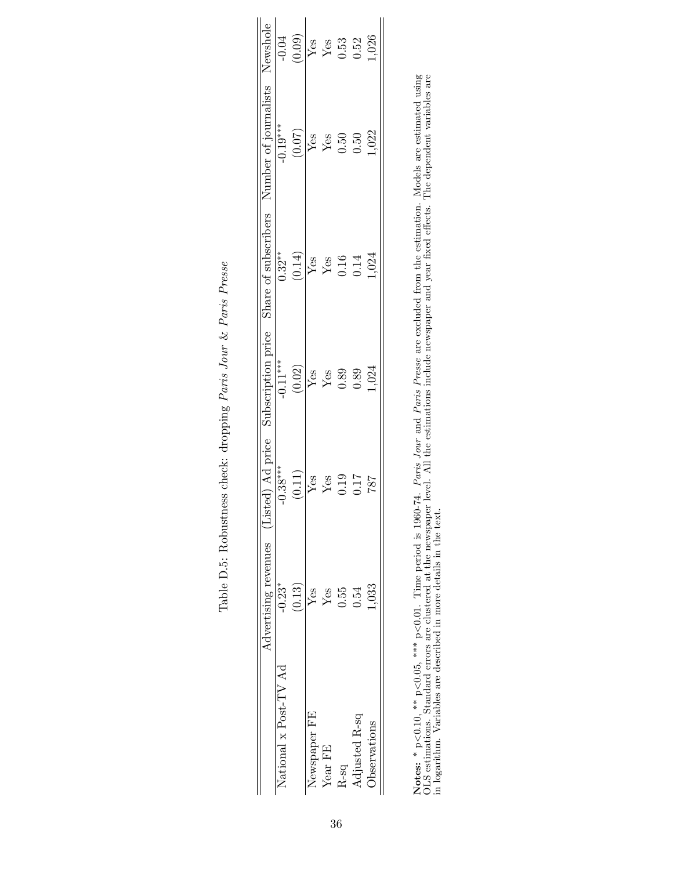|                                                                                                               | $-0.04$               | (0.09) | Yes                             | $Y_{est}$<br>0.53 |                  | 0.52          | 1,026               |  |
|---------------------------------------------------------------------------------------------------------------|-----------------------|--------|---------------------------------|-------------------|------------------|---------------|---------------------|--|
| Advertising revenues (Listed) Ad price Subscription price Share of subscribers Number of journalists Newshole | $-0.19***$            | (0.07) | Yes                             | $Y$ es            | 0.50             | 0.50          | 1,022               |  |
|                                                                                                               | $0.32**$              | (0.14) | $\operatorname{Yes}$            | $\mathbf{Yes}$    | $0.16$<br>$0.14$ |               | 1,024               |  |
|                                                                                                               | $-0.11***$            | (0.02) | $\frac{\text{Yes}}{\text{Yes}}$ |                   | 0.89             | 0.89          | 1,024               |  |
|                                                                                                               | $-0.38***$            | (0.11) | Yes                             | Yes               | 0.19             | 117           | 787                 |  |
|                                                                                                               | $-0.23*$              | (0.13) | Yes                             | Yes               | 0.55             | 0.54          | 1,033               |  |
|                                                                                                               | National x Post-TV Ad |        | Newspaper FE                    | Year FE           | $R-Sq$           | Adjusted R-sq | <b>D</b> servations |  |

| $\mathfrak{c}$                     |
|------------------------------------|
| 3<br>3<br>r Por<br>ſ               |
|                                    |
| ا שט 20 L                          |
| .<br>المعالم<br>יש<br>ר<br>ſ       |
| しゃくさん こうしょう<br>ĺ<br>ì              |
| $\sim$ $\sim$ $\sim$<br>į          |
| $\overline{\phantom{a}}$<br>ļ<br>Í |
| ים<br>בוצ                          |
| į<br>-<br>E                        |

Notes: \*  $p<0.10$ , \*\*  $p<0.05$ , \*\*\*  $p<0.01$ . Time period is 1960-74. Paris Jour and Paris Presse are excluded from the estimation. Models are estimated using OLS estimations. Standard errors are clustered at the newsp Notes: \* p<0.10, \*\* p<0.05, \*\*\* p<0.01. Time period is 1960-74. Paris Jour and Paris Presse are excluded from the estimation. Models are estimated using OLS estimations. Standard errors are clustered at the newspaper level. All the estimations include newspaper and year fixed effects. The dependent variables are in logarithm. Variables are described in more details in the text.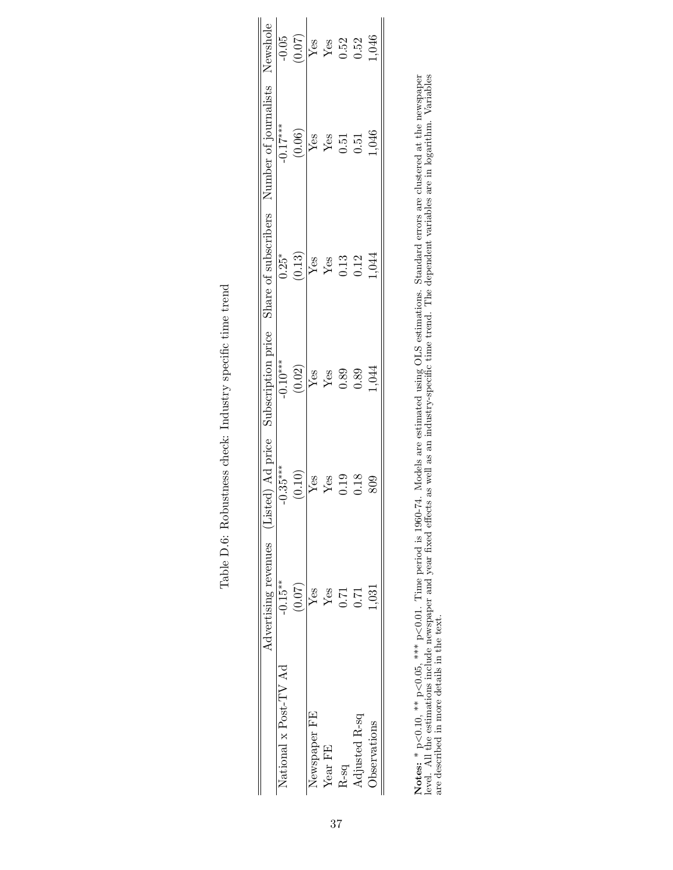|                       |           |             |                                 |                                      | Advertising revenues (Listed) Ad price Subscription price Share of subscribers Number of journalists Newshole |                                                 |
|-----------------------|-----------|-------------|---------------------------------|--------------------------------------|---------------------------------------------------------------------------------------------------------------|-------------------------------------------------|
| Vational x Post-TV Ad | $-0.15**$ | $-0.35***$  | $-0.10***$                      | $0.25*$                              | $-0.17***$                                                                                                    | $-0.05$                                         |
|                       | (0.07)    | (0.10)      | (0.02)                          | (0.13)                               | (0.06)                                                                                                        | (0.07)                                          |
| Newspaper FE          | Yes       | ${\rm Yes}$ |                                 |                                      |                                                                                                               |                                                 |
| Year FE               | Yes       | Yes         | $\frac{\text{Yes}}{\text{Yes}}$ | $Y$ es<br>$Y$ es<br>$0.13$<br>$0.12$ | $\frac{\text{Yes}}{\text{Yes}}$                                                                               | $\frac{V_{\text{es}}}{V_{\text{es}}}$<br>$0.52$ |
| $2-50$                | 171       | 0.19        | 0.89                            |                                      | $0.51$<br>$0.51$                                                                                              |                                                 |
| djusted R-sq          | 0.71      | 0.18        | 0.89                            |                                      |                                                                                                               |                                                 |
| bservations           | 1.031     | $\$09$      | 1,044                           | 1,044                                | 1,046                                                                                                         | 1,046                                           |
|                       |           |             |                                 |                                      |                                                                                                               |                                                 |

| l                                                                                  |
|------------------------------------------------------------------------------------|
| ֧֧֧֧֧֧֧֧֧֧֧֪ׅ֧֧֧֪ׅ֧֧֧֧֧֪ׅ֧֛֪ׅ֧֚֚֚֚֚֚֚֚֚֚֚֚֚֚֚֡֕֕֕֓֝֬֝֓֝֓֝֬֝֓֝֬֝֬֝֬֝֬֝֓֝֬֝֬֝֬֝֬֝֬֝֬ |
| サーク りょうせき クロークス うち しょうせつ<br>i                                                      |
| ì<br>Ì                                                                             |
| j<br>ĺ                                                                             |
| I<br>İ<br>$\overline{a}$<br>֚֚֬                                                    |
| ۱<br>ا                                                                             |
| $\frac{1}{6}$<br>$\frac{1}{2}$<br>ĺ                                                |

Notes:  $*_{p<0.10, **_{p<0.05, ***_{p<0.01}}$ . Time period is 1960-74. Models are estimated using OLS estimations. Standard errors are clustered at the newspaper level. All the estimations include newspaper and year fixed eff Notes: \* p<0.10, \*\*\* p<0.05, \*\*\* p<0.01. Time period is 1960-74. Models are estimated using OLS estimations. Standard errors are clustered at the newspaper level. All the estimations include newspaper and year fixed effects as well as an industry-specific time trend. The dependent variables are in logarithm. Variables are described in more details in the text.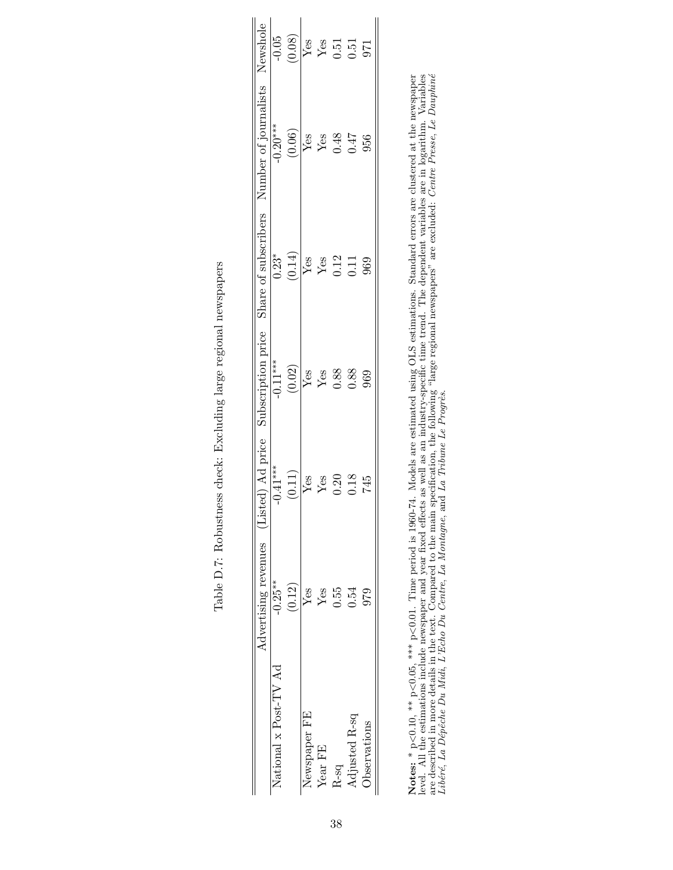|                       | Advertising revenues (Listed) Ad price |            | Subscription price                         |                                                     | Share of subscribers Number of journalists Newshole |                                                           |
|-----------------------|----------------------------------------|------------|--------------------------------------------|-----------------------------------------------------|-----------------------------------------------------|-----------------------------------------------------------|
| Vational x Post-TV Ad | $-0.25**$                              | $-0.41***$ | $-0.11***$                                 | $0.23*$                                             | $-0.20***$                                          |                                                           |
|                       | (0.12)                                 | (0.11)     | (0.02)                                     | (0.14)                                              | $(0.06)$                                            | $\frac{10.05}{0.08}$                                      |
| <b>Newspaper FE</b>   | $Y$ es                                 | $Y$ es     | $\overline{\frac{\text{Yes}}{\text{Yes}}}$ |                                                     | $\sqrt{\text{Res}}$                                 |                                                           |
| Year FE               | Yes                                    | Yes        |                                            |                                                     | ${\rm Yes}$                                         |                                                           |
| $2-5q$                | 0.55                                   | 0.20       | 0.88                                       | $\overline{Y}_{68}$<br>$Y_{65}$<br>$0.12$<br>$0.11$ | 0.48                                                | $\begin{array}{c}\nY_{CS} \\ Y_{CS} \\ 0.51\n\end{array}$ |
| Adjusted R-sq         | 0.54                                   | 0.18       | 0.88                                       |                                                     | 0.47                                                |                                                           |
| bservations           | 979                                    | 745        | 969                                        | 969                                                 | 956                                                 | 371                                                       |
|                       |                                        |            |                                            |                                                     |                                                     |                                                           |

|   | しょうしょ<br>I<br>j                                                                           |
|---|-------------------------------------------------------------------------------------------|
|   | <b>こうしょうこう こうこうこうこう こうさん 一 うらす</b><br>Ì<br>l<br>l<br>ĺ<br>)<br>I                          |
|   | J<br>֧֧֧֧֦֧ׅׅ֧֧ׅ֧֦֧֦֧֦֧֦֧֦֧֦֧֦֧֦֧֛֛֛֛֧֦֧֦֧֦֧֦֧֦֧֧֛֧֦֧֚֚֚֚֚֚֚֚֚֚֚֚֚֚֚֚֚֚֚֬֝֝֝֝֝֓֜֓֓֝֬֜֓֜֜֜ |
| ļ | l<br>i<br>Singapura<br>l<br>$\frac{1}{2}$<br>ì<br>i                                       |
|   | j<br>ĺ                                                                                    |
|   | $\frac{1}{2}$<br>j<br>۱                                                                   |
| Į | י<br>ו<br>ו<br>;                                                                          |

**Notes:** \* p<0.10, \*\* p<0.05, \*\*\* p<0.01. Time period is 1960-74. Models are estimated using OLS estimations. Standard errors are clustered at the newspaper level. All the estimations include newspaper and year fixed effe are described in more details in the text. Compared to the main specification, the following "large regional newspapers" are excluded: Centre Presse, Le Dauphiné Notes: \* p<0.10, \*\*\* p<0.05, \*\*\* p<0.01. Time period is 1960-74. Models are estimated using OLS estimations. Standard errors are clustered at the newspaper level. All the estimations include newspaper and year fixed effects as well as an industry-specific time trend. The dependent variables are in logarithm. Variables Libéré, La Dépêche Du Midi, L'Echo Du Centre, La Montagne, and La Tribune Le Progrès.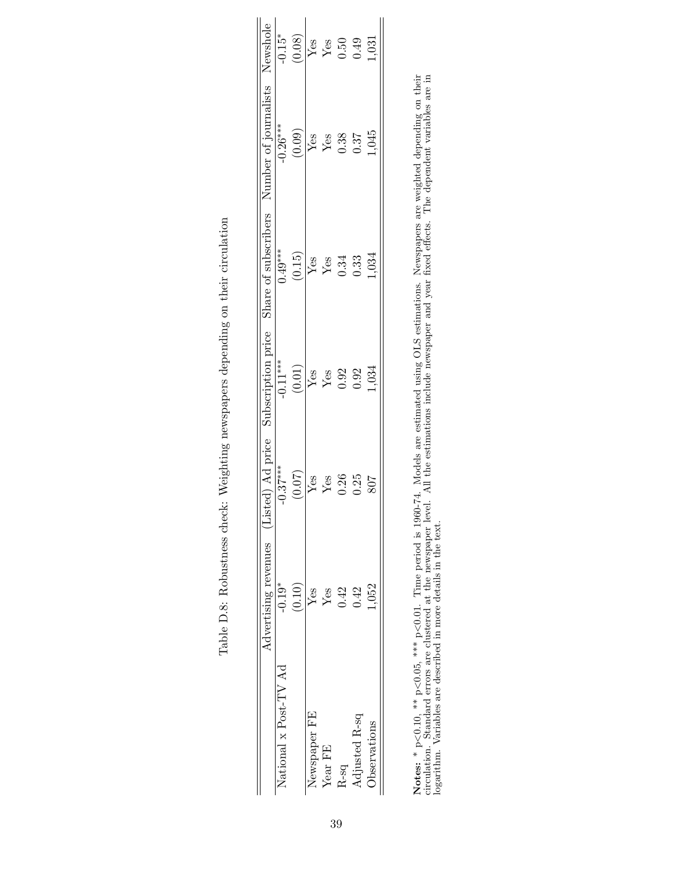|                                                                                                               | $-0.15*$              | (0.08) | Yes                                   |         | $\begin{array}{c} \text{Yes} \\ 0.50 \\ 0.49 \end{array}$ |               | 1,031                |  |
|---------------------------------------------------------------------------------------------------------------|-----------------------|--------|---------------------------------------|---------|-----------------------------------------------------------|---------------|----------------------|--|
| Advertising revenues (Listed) Ad price Subscription price Share of subscribers Number of journalists Newshole | $-0.26***$            | (0.09) | Yes                                   | $Y$ es  | 0.38                                                      | 0.37          | 1,045                |  |
|                                                                                                               | $0.49***$             | (0.15) | $Y_{es}$                              |         | 0.34                                                      | 0.33          | 1,034                |  |
|                                                                                                               | $-0.11***$            | (0.01) | $\frac{Y_{\text{CS}}}{Y_{\text{CS}}}$ |         | 0.92                                                      | 0.92          | 1,034                |  |
|                                                                                                               | $0.37***$             | (0.07) | Yes                                   | Yes     | 0.26                                                      | 0.25          | 807                  |  |
|                                                                                                               | $-0.19*$              | (0.10) | Yes                                   | Yes     | 0.42                                                      | 0.42          | 1,052                |  |
|                                                                                                               | Vational x Post-TV Ad |        | Vewspaper FE                          | Year FE | R-sq                                                      | Adjusted R-sq | <b>J</b> bservations |  |

| )                                                                    |
|----------------------------------------------------------------------|
| le llechtion nome component domain component de la provincia latinon |
| יו אינו שינו שביב בת<br>-<br>-<br>-<br>-                             |
| :<br>;<br>i<br>S                                                     |
| ì<br>$\mathfrak{g}$                                                  |
|                                                                      |
| $\frac{1}{2}$<br>m.l.l.o                                             |

Notes: \* p·  $\leq 0.10$ ,  $\stackrel{*}{\sim}$  p.  $<$  0.05, \*\*\* p $\cdot$ <0.01. Time period is 1960-74. Models are estimated using OLS estimations. Newspapers are weighted depending on their circulation. Standard errors are clustered at the newspaper level. All the estimations include newspaper and year fixed effects. The dependent variables are in logarithm. Variables are described in more details in the text.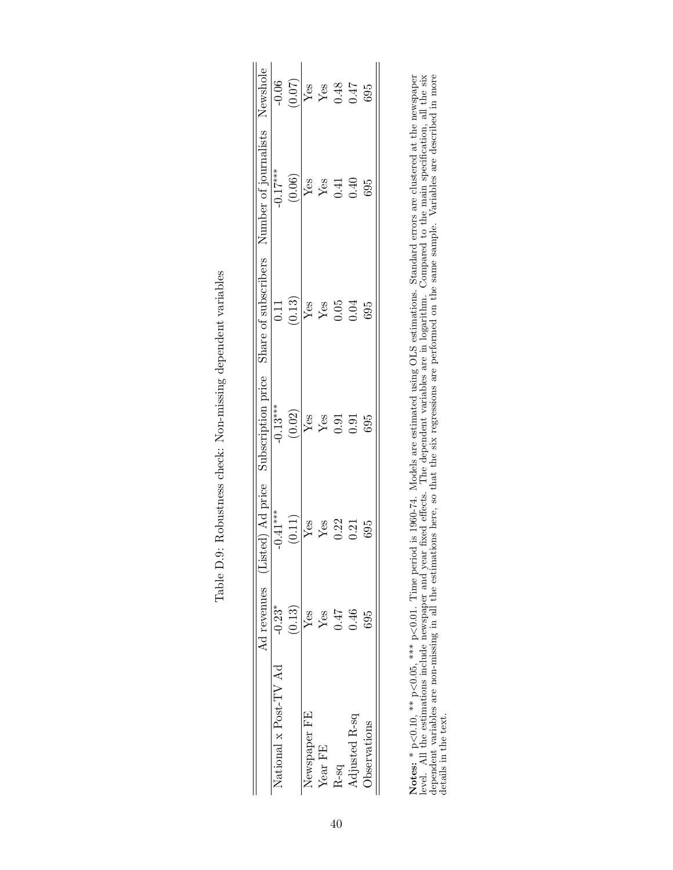|                       |        |        |          |                | $\overline{Ad}$ revenues (Listed) Ad price Subscription price Share of subscribers Number of journalists Newshole $\overline{Ad}$ revenues (Listed) Ad price Subscription price Share of subscribers Number of journalists Newshole |        |
|-----------------------|--------|--------|----------|----------------|-------------------------------------------------------------------------------------------------------------------------------------------------------------------------------------------------------------------------------------|--------|
| National x Post-TV Ad |        |        |          |                |                                                                                                                                                                                                                                     |        |
|                       | (0.13) | (0.11) | $(0.02)$ | (0.13)         | (0.06)                                                                                                                                                                                                                              | (0.07) |
| Newspaper FE          | $Y$ es | Yes    | Yes      | Yes            | $\overline{Y}$ es                                                                                                                                                                                                                   | $Y$ es |
| Year FE               | $Y$ es | Yes    | $Y$ es   | $Y$ es         | Yes                                                                                                                                                                                                                                 | $Y$ es |
| $2-5q$                | 147    | 0.22   |          | $0.05$<br>0.04 | 0.41                                                                                                                                                                                                                                | 0.48   |
| djusted R-sq          | 0.46   | 0.21   | 0.91     |                | 0.40                                                                                                                                                                                                                                |        |
| <b>D</b> servations   | 695    | 695    | 695      | 695            | 695                                                                                                                                                                                                                                 | 695    |
|                       |        |        |          |                |                                                                                                                                                                                                                                     |        |

| $\frac{1}{2}$<br>Ì                                                    |
|-----------------------------------------------------------------------|
| ;<br>)<br>;<br>í                                                      |
| NO. The second condition of the second condition.<br>;<br>{<br>į<br>l |
| Vohinnon ohodri I<br>;<br>;                                           |
|                                                                       |
| The American Contractor<br>$\int$                                     |

Notes: \*  $p<0.10$ , \*\*  $p<0.05$ , \*\*\*  $p<0.01$ . Time period is 1960-74. Models are estimated using OLS estimations. Standard errors are clustered at the newspaper level. All the estimations include newspaper and year fix Notes: \* p<0.10, \*\*\* p<0.05, \*\*\* p<0.01. Time period is 1960-74. Models are estimated using OLS estimations. Standard errors are clustered at the newspaper level. All the estimations include newspaper and year fixed effects. The dependent variables are in logarithm. Compared to the main specification, all the six dependent variables are non-missing in all the estimations here, so that the six regressions are performed on the same sample. Variables are described in more details in the text.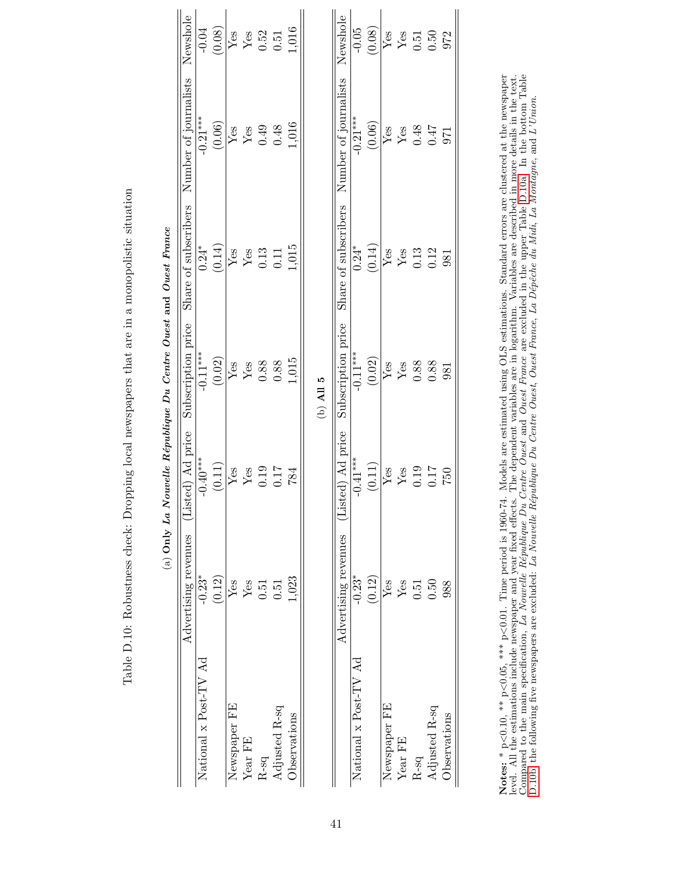<span id="page-40-1"></span>

|                       | Advertising revenues | ed) Ad price<br>ist                                                           | Subscription price                                                                | Share of subscribers                                                  | Number of journalists                                                             | Newshole                                                                                 |
|-----------------------|----------------------|-------------------------------------------------------------------------------|-----------------------------------------------------------------------------------|-----------------------------------------------------------------------|-----------------------------------------------------------------------------------|------------------------------------------------------------------------------------------|
| National x Post-TV Ad | $-0.23*$             | $-0.40***$                                                                    | $-0.11***$                                                                        | $0.24*$                                                               | $-0.21***$                                                                        | $-0.04$                                                                                  |
|                       | (0.12)               | (0.11)                                                                        | $\begin{array}{r} (0.02) \\ \text{Yes} \\ \text{Yes} \\ 0.88 \\ 0.88 \end{array}$ | $\frac{(0.14)}{Y_{\text{es}}}$<br>$Y_{\text{es}}$<br>$0.13$<br>$0.11$ |                                                                                   |                                                                                          |
| Newspaper FE          | ${\rm Yes}$          |                                                                               |                                                                                   |                                                                       |                                                                                   |                                                                                          |
| Year FE               | $\operatorname{Yes}$ |                                                                               |                                                                                   |                                                                       |                                                                                   |                                                                                          |
| $R$ -sq               | 0.51                 | $\begin{array}{c} \rm{Yes} \\ \rm{Yes} \\ \rm{0.19} \\ \rm{0.17} \end{array}$ |                                                                                   |                                                                       | $\begin{array}{c} (0.06) \\ \text{Yes} \\ \text{Yes} \\ 0.49 \\ 0.48 \end{array}$ | $\begin{array}{c} (0.08) \\ \text{Yes} \\ \text{Yes} \\ 0.52 \\ 0.51 \end{array}$        |
| Adjusted R-sq         | 0.51                 |                                                                               |                                                                                   |                                                                       |                                                                                   |                                                                                          |
| Observations          | 1,023                | 784                                                                           | 1,015                                                                             | 1,015                                                                 | 1,016                                                                             | 1,016                                                                                    |
|                       |                      |                                                                               | (b) $\mathbf{A}$ II 5                                                             |                                                                       |                                                                                   |                                                                                          |
|                       | Advertising revenues | ed) Ad price<br>ЕЦ                                                            | Subscription price                                                                | Share of subscribers                                                  | Number of journalists                                                             | Newshole                                                                                 |
| National x Post-TV Ad | $-0.23$              | $-0.41***$                                                                    | $-0.11***$                                                                        | $0.24*$                                                               | $-0.21***$                                                                        | $-0.05$                                                                                  |
|                       | (0.12)               | (0.11)                                                                        | (0.02)                                                                            | $(0.14)$                                                              | (0.06)                                                                            | $\begin{array}{c} (0.08) \\ \hline \text{Yes} \\ \text{Yes} \\ 0.51 \\ 0.50 \end{array}$ |
| Newspaper FE          | $\operatorname{Yes}$ |                                                                               |                                                                                   |                                                                       |                                                                                   |                                                                                          |
| Year FE               | ${\rm Yes}$          |                                                                               |                                                                                   |                                                                       |                                                                                   |                                                                                          |
| $\rm R\text{-}sq$     | 0.51                 | $Y_{es}$<br>$Y_{es}$<br>$0.19$<br>$0.17$                                      | $\frac{\text{Yes}}{\text{Yes}}$ 0.88                                              | $Yes$<br>$Yes$<br>$0.13$<br>$0.12$                                    | $\frac{\text{Yes}}{\text{Yes}}\\ 0.47$                                            |                                                                                          |
| Adjusted R-sq         | 0.50                 |                                                                               | 0.88                                                                              |                                                                       |                                                                                   |                                                                                          |
| Observations          | 988                  | 057                                                                           | 981                                                                               | 981                                                                   | 971                                                                               | 972                                                                                      |

<span id="page-40-0"></span>Table D.10: Robustness check: Dropping local newspapers that are in a monopolistic situation Table D.10: Robustness check: Dropping local newspapers that are in a monopolistic situation Notes: \* p·  $< 0.10, **$  p.  $< 0.05$ , \*\*\* p. <0.01. Time period is 1960-74. Models are estimated using OLS estimations. Standard errors are clustered at the newspaper level. All the estimations include newspaper and year fixed effects. The dependent variables are in logarithm. Variables are described in more details in the text. Compared to the main specification, La Nouvelle République Du Centre Ouest and Ouest France are excluded in the upper Table [D.10a.](#page-40-0) In the bottom Table C.10a. In the bottom Table [D.10b,](#page-40-1) the following five newspapers are excluded: La Nouvelle R´epublique Du Centre Ouest, Ouest France, La D´epˆeche du Midi, La Montagne, and L'Union.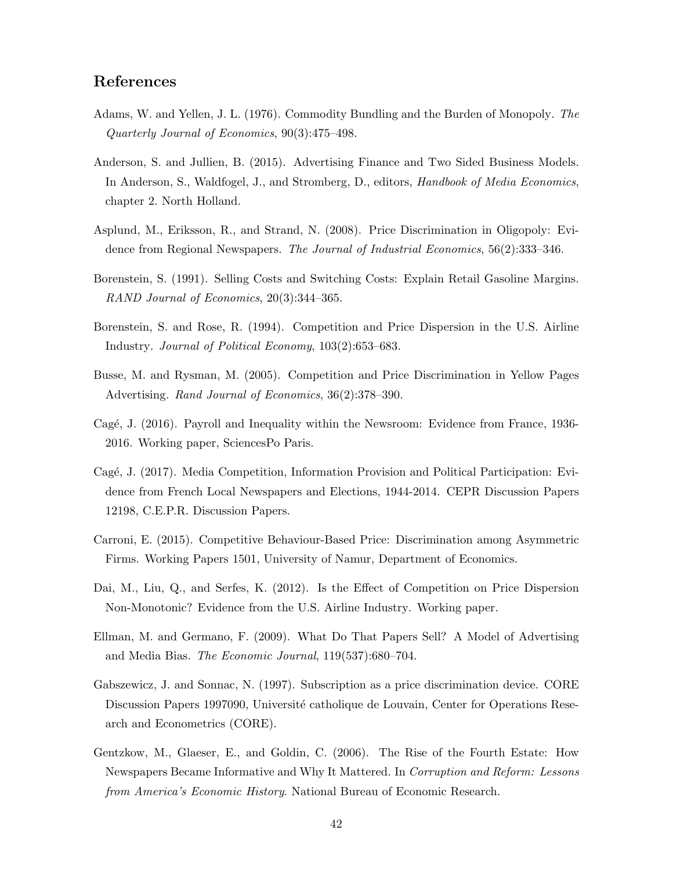### References

- <span id="page-41-8"></span>Adams, W. and Yellen, J. L. (1976). Commodity Bundling and the Burden of Monopoly. The Quarterly Journal of Economics, 90(3):475–498.
- <span id="page-41-10"></span>Anderson, S. and Jullien, B. (2015). Advertising Finance and Two Sided Business Models. In Anderson, S., Waldfogel, J., and Stromberg, D., editors, *Handbook of Media Economics*, chapter 2. North Holland.
- <span id="page-41-9"></span>Asplund, M., Eriksson, R., and Strand, N. (2008). Price Discrimination in Oligopoly: Evidence from Regional Newspapers. The Journal of Industrial Economics, 56(2):333–346.
- <span id="page-41-3"></span>Borenstein, S. (1991). Selling Costs and Switching Costs: Explain Retail Gasoline Margins. RAND Journal of Economics, 20(3):344–365.
- <span id="page-41-4"></span>Borenstein, S. and Rose, R. (1994). Competition and Price Dispersion in the U.S. Airline Industry. Journal of Political Economy, 103(2):653–683.
- <span id="page-41-5"></span>Busse, M. and Rysman, M. (2005). Competition and Price Discrimination in Yellow Pages Advertising. Rand Journal of Economics, 36(2):378–390.
- <span id="page-41-12"></span>Cagé, J. (2016). Payroll and Inequality within the Newsroom: Evidence from France, 1936-2016. Working paper, SciencesPo Paris.
- <span id="page-41-11"></span>Cagé, J. (2017). Media Competition, Information Provision and Political Participation: Evidence from French Local Newspapers and Elections, 1944-2014. CEPR Discussion Papers 12198, C.E.P.R. Discussion Papers.
- <span id="page-41-2"></span>Carroni, E. (2015). Competitive Behaviour-Based Price: Discrimination among Asymmetric Firms. Working Papers 1501, University of Namur, Department of Economics.
- <span id="page-41-6"></span>Dai, M., Liu, Q., and Serfes, K. (2012). Is the Effect of Competition on Price Dispersion Non-Monotonic? Evidence from the U.S. Airline Industry. Working paper.
- <span id="page-41-1"></span>Ellman, M. and Germano, F. (2009). What Do That Papers Sell? A Model of Advertising and Media Bias. The Economic Journal, 119(537):680–704.
- <span id="page-41-7"></span>Gabszewicz, J. and Sonnac, N. (1997). Subscription as a price discrimination device. CORE Discussion Papers 1997090, Université catholique de Louvain, Center for Operations Research and Econometrics (CORE).
- <span id="page-41-0"></span>Gentzkow, M., Glaeser, E., and Goldin, C. (2006). The Rise of the Fourth Estate: How Newspapers Became Informative and Why It Mattered. In Corruption and Reform: Lessons from America's Economic History. National Bureau of Economic Research.